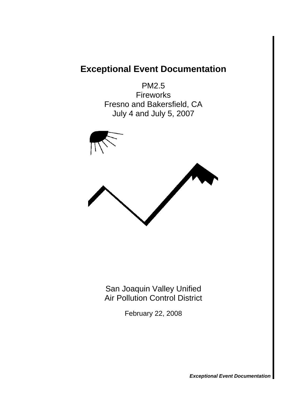# **Exceptional Event Documentation**

PM2.5 Fireworks Fresno and Bakersfield, CA July 4 and July 5, 2007



San Joaquin Valley Unified Air Pollution Control District

February 22, 2008

*Exceptional Event Documentation*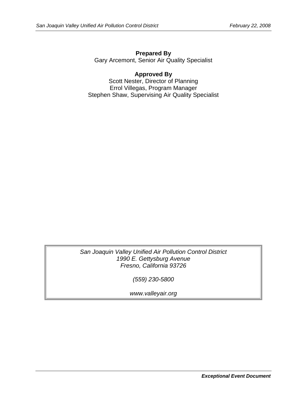**Prepared By**  Gary Arcemont, Senior Air Quality Specialist

**Approved By**  Scott Nester, Director of Planning Errol Villegas, Program Manager Stephen Shaw, Supervising Air Quality Specialist

*San Joaquin Valley Unified Air Pollution Control District 1990 E. Gettysburg Avenue Fresno, California 93726* 

*(559) 230-5800* 

*www.valleyair.org*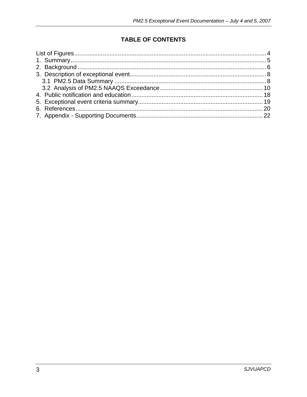### **TABLE OF CONTENTS**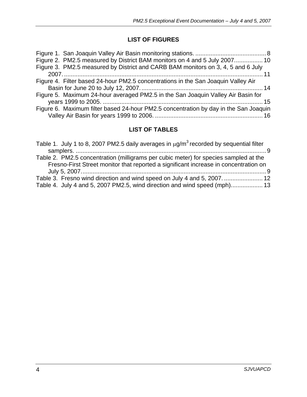### **LIST OF FIGURES**

<span id="page-3-0"></span>

| Figure 2. PM2.5 measured by District BAM monitors on 4 and 5 July 2007 10            |  |
|--------------------------------------------------------------------------------------|--|
| Figure 3. PM2.5 measured by District and CARB BAM monitors on 3, 4, 5 and 6 July     |  |
|                                                                                      |  |
| Figure 4. Filter based 24-hour PM2.5 concentrations in the San Joaquin Valley Air    |  |
|                                                                                      |  |
| Figure 5. Maximum 24-hour averaged PM2.5 in the San Joaquin Valley Air Basin for     |  |
|                                                                                      |  |
| Figure 6. Maximum filter based 24-hour PM2.5 concentration by day in the San Joaquin |  |

### **LIST OF TABLES**

| Table 1. July 1 to 8, 2007 PM2.5 daily averages in $\mu$ g/m <sup>3</sup> recorded by sequential filter |
|---------------------------------------------------------------------------------------------------------|
|                                                                                                         |
| Table 2. PM2.5 concentration (milligrams per cubic meter) for species sampled at the                    |
| Fresno-First Street monitor that reported a significant increase in concentration on                    |
|                                                                                                         |
| Table 3. Fresno wind direction and wind speed on July 4 and 5, 2007 12                                  |
| Table 4. July 4 and 5, 2007 PM2.5, wind direction and wind speed (mph) 13                               |
|                                                                                                         |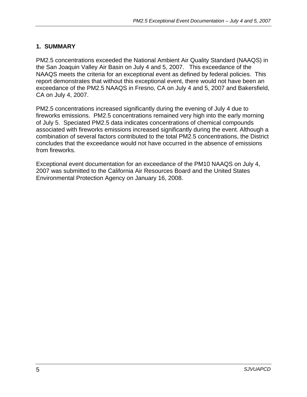#### <span id="page-4-0"></span>**1. SUMMARY**

PM2.5 concentrations exceeded the National Ambient Air Quality Standard (NAAQS) in the San Joaquin Valley Air Basin on July 4 and 5, 2007. This exceedance of the NAAQS meets the criteria for an exceptional event as defined by federal policies. This report demonstrates that without this exceptional event, there would not have been an exceedance of the PM2.5 NAAQS in Fresno, CA on July 4 and 5, 2007 and Bakersfield, CA on July 4, 2007.

PM2.5 concentrations increased significantly during the evening of July 4 due to fireworks emissions. PM2.5 concentrations remained very high into the early morning of July 5. Speciated PM2.5 data indicates concentrations of chemical compounds associated with fireworks emissions increased significantly during the event. Although a combination of several factors contributed to the total PM2.5 concentrations, the District concludes that the exceedance would not have occurred in the absence of emissions from fireworks.

Exceptional event documentation for an exceedance of the PM10 NAAQS on July 4, 2007 was submitted to the California Air Resources Board and the United States Environmental Protection Agency on January 16, 2008.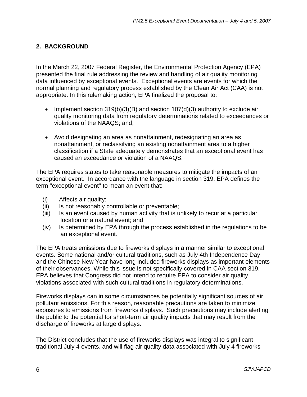### <span id="page-5-0"></span>**2. BACKGROUND**

In the March 22, 2007 Federal Register, the Environmental Protection Agency (EPA) presented the final rule addressing the review and handling of air quality monitoring data influenced by exceptional events. Exceptional events are events for which the normal planning and regulatory process established by the Clean Air Act (CAA) is not appropriate. In this rulemaking action, EPA finalized the proposal to:

- Implement section  $319(b)(3)(B)$  and section  $107(d)(3)$  authority to exclude air quality monitoring data from regulatory determinations related to exceedances or violations of the NAAQS; and,
- Avoid designating an area as nonattainment, redesignating an area as nonattainment, or reclassifying an existing nonattainment area to a higher classification if a State adequately demonstrates that an exceptional event has caused an exceedance or violation of a NAAQS.

The EPA requires states to take reasonable measures to mitigate the impacts of an exceptional event. In accordance with the language in section 319, EPA defines the term "exceptional event'' to mean an event that:

- (i) Affects air quality;
- (ii) Is not reasonably controllable or preventable;
- (iii) Is an event caused by human activity that is unlikely to recur at a particular location or a natural event; and
- (iv) Is determined by EPA through the process established in the regulations to be an exceptional event.

The EPA treats emissions due to fireworks displays in a manner similar to exceptional events. Some national and/or cultural traditions, such as July 4th Independence Day and the Chinese New Year have long included fireworks displays as important elements of their observances. While this issue is not specifically covered in CAA section 319, EPA believes that Congress did not intend to require EPA to consider air quality violations associated with such cultural traditions in regulatory determinations.

Fireworks displays can in some circumstances be potentially significant sources of air pollutant emissions. For this reason, reasonable precautions are taken to minimize exposures to emissions from fireworks displays. Such precautions may include alerting the public to the potential for short-term air quality impacts that may result from the discharge of fireworks at large displays.

The District concludes that the use of fireworks displays was integral to significant traditional July 4 events, and will flag air quality data associated with July 4 fireworks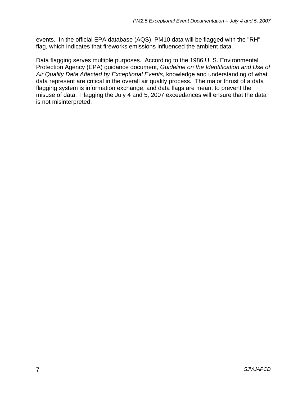events. In the official EPA database (AQS), PM10 data will be flagged with the "RH" flag, which indicates that fireworks emissions influenced the ambient data.

Data flagging serves multiple purposes. According to the 1986 U. S. Environmental Protection Agency (EPA) guidance document, *Guideline on the Identification and Use of Air Quality Data Affected by Exceptional Events*, knowledge and understanding of what data represent are critical in the overall air quality process*.* The major thrust of a data flagging system is information exchange, and data flags are meant to prevent the misuse of data. Flagging the July 4 and 5, 2007 exceedances will ensure that the data is not misinterpreted.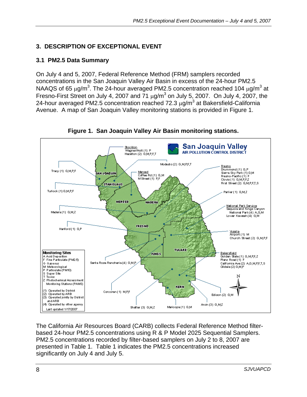### <span id="page-7-0"></span>**3. DESCRIPTION OF EXCEPTIONAL EVENT**

### **3.1 PM2.5 Data Summary**

On July 4 and 5, 2007, Federal Reference Method (FRM) samplers recorded concentrations in the San Joaquin Valley Air Basin in excess of the 24-hour PM2.5 NAAQS of 65  $\mu$ g/m<sup>3</sup>. The 24-hour averaged PM2.5 concentration reached 104  $\mu$ g/m<sup>3</sup> at Fresno-First Street on July 4, 2007 and  $71 \mu g/m^3$  on July 5, 2007. On July 4, 2007, the 24-hour averaged PM2.5 concentration reached 72.3  $\mu$ g/m $^3$  at Bakersfield-California Avenue. A map of San Joaquin Valley monitoring stations is provided in Figure 1.



#### **Figure 1. San Joaquin Valley Air Basin monitoring stations.**

The California Air Resources Board (CARB) collects Federal Reference Method filterbased 24-hour PM2.5 concentrations using R & P Model 2025 Sequential Samplers. PM2.5 concentrations recorded by filter-based samplers on July 2 to 8, 2007 are presented in Table 1. Table 1 indicates the PM2.5 concentrations increased significantly on July 4 and July 5.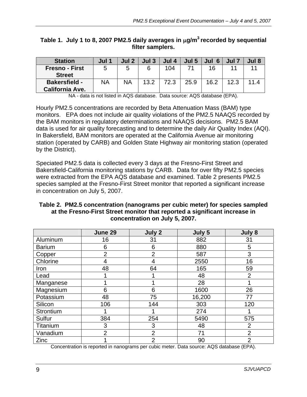| <b>Station</b>                                 | Jul <sub>1</sub> | Jul 2 | Jul <sub>3</sub> | Jul 4 | Jul 5 | Jul<br>6 | Jul $7$ | Jul 8 |
|------------------------------------------------|------------------|-------|------------------|-------|-------|----------|---------|-------|
| <b>Fresno - First</b><br><b>Street</b>         | 5                | 5     |                  | 104   |       | 16       |         |       |
| <b>Bakersfield -</b><br><b>California Ave.</b> | ΝA               | ΝA    | 13.2             | 72.3  | 25.9  | 16.2     | 12.3    |       |

#### <span id="page-8-0"></span>**Table 1. July 1 to 8, 2007 PM2.5 daily averages in** μ**g/m3 recorded by sequential filter samplers.**

NA - data is not listed in AQS database. Data source: AQS database (EPA).

Hourly PM2.5 concentrations are recorded by Beta Attenuation Mass (BAM) type monitors. EPA does not include air quality violations of the PM2.5 NAAQS recorded by the BAM monitors in regulatory determinations and NAAQS decisions. PM2.5 BAM data is used for air quality forecasting and to determine the daily Air Quality Index (AQI). In Bakersfield, BAM monitors are operated at the California Avenue air monitoring station (operated by CARB) and Golden State Highway air monitoring station (operated by the District).

Speciated PM2.5 data is collected every 3 days at the Fresno-First Street and Bakersfield-California monitoring stations by CARB. Data for over fifty PM2.5 species were extracted from the EPA AQS database and examined. Table 2 presents PM2.5 species sampled at the Fresno-First Street monitor that reported a significant increase in concentration on July 5, 2007.

| Table 2. PM2.5 concentration (nanograms per cubic meter) for species sampled |
|------------------------------------------------------------------------------|
| at the Fresno-First Street monitor that reported a significant increase in   |
| concentration on July 5, 2007.                                               |

|               | June 29        | July 2         | July 5 | July 8         |
|---------------|----------------|----------------|--------|----------------|
| Aluminum      | 16             | 31             | 882    | 31             |
| <b>Barium</b> | 6              | 6              | 880    | 5              |
| Copper        | $\overline{2}$ | $\overline{2}$ | 587    | 3              |
| Chlorine      | 4              | 4              | 2550   | 16             |
| Iron          | 48             | 64             | 165    | 59             |
| Lead          |                |                | 48     | 2              |
| Manganese     |                |                | 28     |                |
| Magnesium     | 6              | 6              | 1600   | 26             |
| Potassium     | 48             | 75             | 16,200 | 77             |
| Silicon       | 106            | 144            | 303    | 120            |
| Strontium     |                |                | 274    |                |
| Sulfur        | 384            | 254            | 5490   | 575            |
| Titanium      | 3              | 3              | 48     | $\overline{2}$ |
| Vanadium      | $\overline{2}$ | $\overline{2}$ | 71     | $\overline{2}$ |
| Zinc          |                | $\overline{2}$ | 90     | $\overline{2}$ |

Concentration is reported in nanograms per cubic meter. Data source: AQS database (EPA).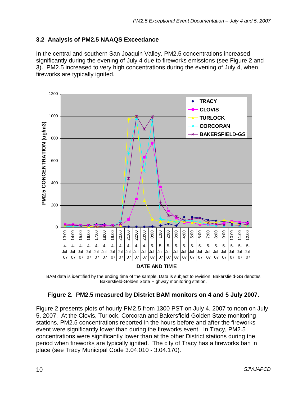#### <span id="page-9-0"></span>**3.2 Analysis of PM2.5 NAAQS Exceedance**

In the central and southern San Joaquin Valley, PM2.5 concentrations increased significantly during the evening of July 4 due to fireworks emissions (see Figure 2 and 3). PM2.5 increased to very high concentrations during the evening of July 4, when fireworks are typically ignited.



BAM data is identified by the ending time of the sample. Data is subject to revision. Bakersfield-GS denotes Bakersfield-Golden State Highway monitoring station.

#### **Figure 2. PM2.5 measured by District BAM monitors on 4 and 5 July 2007.**

Figure 2 presents plots of hourly PM2.5 from 1300 PST on July 4, 2007 to noon on July 5, 2007. At the Clovis, Turlock, Corcoran and Bakersfield-Golden State monitoring stations, PM2.5 concentrations reported in the hours before and after the fireworks event were significantly lower than during the fireworks event. In Tracy, PM2.5 concentrations were significantly lower than at the other District stations during the period when fireworks are typically ignited. The city of Tracy has a fireworks ban in place (see Tracy Municipal Code 3.04.010 - 3.04.170).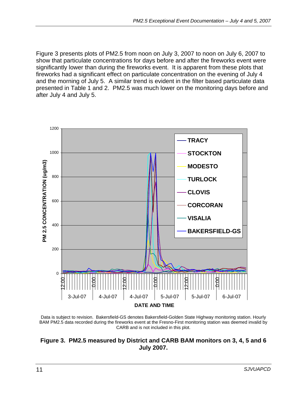<span id="page-10-0"></span>Figure 3 presents plots of PM2.5 from noon on July 3, 2007 to noon on July 6, 2007 to show that particulate concentrations for days before and after the fireworks event were significantly lower than during the fireworks event. It is apparent from these plots that fireworks had a significant effect on particulate concentration on the evening of July 4 and the morning of July 5. A similar trend is evident in the filter based particulate data presented in Table 1 and 2. PM2.5 was much lower on the monitoring days before and after July 4 and July 5.



Data is subject to revision. Bakersfield-GS denotes Bakersfield-Golden State Highway monitoring station. Hourly BAM PM2.5 data recorded during the fireworks event at the Fresno-First monitoring station was deemed invalid by CARB and is not included in this plot.

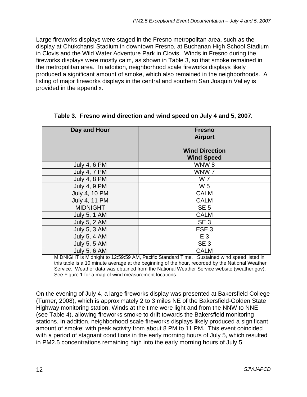<span id="page-11-0"></span>Large fireworks displays were staged in the Fresno metropolitan area, such as the display at Chukchansi Stadium in downtown Fresno, at Buchanan High School Stadium in Clovis and the Wild Water Adventure Park in Clovis. Winds in Fresno during the fireworks displays were mostly calm, as shown in Table 3, so that smoke remained in the metropolitan area. In addition, neighborhood scale fireworks displays likely produced a significant amount of smoke, which also remained in the neighborhoods. A listing of major fireworks displays in the central and southern San Joaquin Valley is provided in the appendix.

| Day and Hour         | <b>Fresno</b><br><b>Airport</b>            |
|----------------------|--------------------------------------------|
|                      | <b>Wind Direction</b><br><b>Wind Speed</b> |
| <b>July 4, 6 PM</b>  | WNW <sub>8</sub>                           |
| <b>July 4, 7 PM</b>  | WNW7                                       |
| <b>July 4, 8 PM</b>  | W 7                                        |
| <b>July 4, 9 PM</b>  | W <sub>5</sub>                             |
| <b>July 4, 10 PM</b> | <b>CALM</b>                                |
| July 4, 11 PM        | <b>CALM</b>                                |
| <b>MIDNIGHT</b>      | SE <sub>5</sub>                            |
| <b>July 5, 1 AM</b>  | <b>CALM</b>                                |
| <b>July 5, 2 AM</b>  | SE <sub>3</sub>                            |
| <b>July 5, 3 AM</b>  | ESE <sub>3</sub>                           |
| <b>July 5, 4 AM</b>  | E <sub>3</sub>                             |
| <b>July 5, 5 AM</b>  | SE <sub>3</sub>                            |
| <b>July 5, 6 AM</b>  | <b>CALM</b>                                |

**Table 3. Fresno wind direction and wind speed on July 4 and 5, 2007.** 

MIDNIGHT is Midnight to 12:59:59 AM, Pacific Standard Time. Sustained wind speed listed in this table is a 10 minute average at the beginning of the hour, recorded by the National Weather Service. Weather data was obtained from the National Weather Service website (weather.gov). See Figure 1 for a map of wind measurement locations.

On the evening of July 4, a large fireworks display was presented at Bakersfield College (Turner, 2008), which is approximately 2 to 3 miles NE of the Bakersfield-Golden State Highway monitoring station. Winds at the time were light and from the NNW to NNE (see Table 4), allowing fireworks smoke to drift towards the Bakersfield monitoring stations. In addition, neighborhood scale fireworks displays likely produced a significant amount of smoke; with peak activity from about 8 PM to 11 PM. This event coincided with a period of stagnant conditions in the early morning hours of July 5, which resulted in PM2.5 concentrations remaining high into the early morning hours of July 5.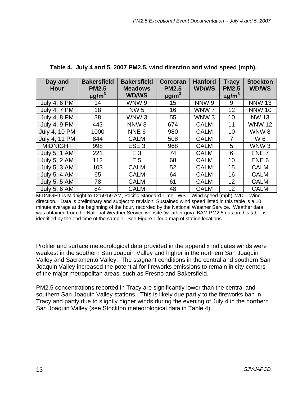| Day and<br><b>Hour</b> | <b>Bakersfield</b><br><b>PM2.5</b><br>$\mu$ g/m <sup>3</sup> | <b>Bakersfield</b><br><b>Meadows</b><br><b>WD/WS</b> | Corcoran<br><b>PM2.5</b><br>$\mu$ g/m <sup>3</sup> | <b>Hanford</b><br><b>WD/WS</b> | <b>Tracy</b><br><b>PM2.5</b><br>$\mu$ g/m <sup>3</sup> | <b>Stockton</b><br><b>WD/WS</b> |
|------------------------|--------------------------------------------------------------|------------------------------------------------------|----------------------------------------------------|--------------------------------|--------------------------------------------------------|---------------------------------|
| <b>July 4, 6 PM</b>    | 14                                                           | WNW 9                                                | 15                                                 | NNW <sub>9</sub>               | 9                                                      | <b>NNW 13</b>                   |
| <b>July 4, 7 PM</b>    | 18                                                           | <b>NW 5</b>                                          | 16                                                 | WNW <sub>7</sub>               | 12                                                     | <b>NNW 10</b>                   |
| <b>July 4, 8 PM</b>    | 38                                                           | WNW <sub>3</sub>                                     | 55                                                 | WNW <sub>3</sub>               | 10                                                     | <b>NW 13</b>                    |
| <b>July 4, 9 PM</b>    | 443                                                          | NNW <sub>3</sub>                                     | 674                                                | <b>CALM</b>                    | 11                                                     | <b>WNW 12</b>                   |
| <b>July 4, 10 PM</b>   | 1000                                                         | NNE <sub>6</sub>                                     | 980                                                | <b>CALM</b>                    | 10                                                     | WNW <sub>8</sub>                |
| <b>July 4, 11 PM</b>   | 844                                                          | <b>CALM</b>                                          | 508                                                | <b>CALM</b>                    | 7                                                      | W 6                             |
| <b>MIDNIGHT</b>        | 998                                                          | ESE <sub>3</sub>                                     | 968                                                | <b>CALM</b>                    | 5                                                      | WNW <sub>3</sub>                |
| <b>July 5, 1 AM</b>    | 221                                                          | E 3                                                  | 74                                                 | <b>CALM</b>                    | 6                                                      | ENE <sub>7</sub>                |
| <b>July 5, 2 AM</b>    | 112                                                          | E 5                                                  | 68                                                 | <b>CALM</b>                    | 10                                                     | ENE <sub>6</sub>                |
| <b>July 5, 3 AM</b>    | 103                                                          | <b>CALM</b>                                          | 52                                                 | <b>CALM</b>                    | 15                                                     | <b>CALM</b>                     |
| <b>July 5, 4 AM</b>    | 65                                                           | <b>CALM</b>                                          | 64                                                 | <b>CALM</b>                    | 16                                                     | <b>CALM</b>                     |
| <b>July 5, 5 AM</b>    | 78                                                           | <b>CALM</b>                                          | 61                                                 | <b>CALM</b>                    | 12                                                     | <b>CALM</b>                     |
| <b>July 5, 6 AM</b>    | 84                                                           | <b>CALM</b>                                          | 48                                                 | <b>CALM</b>                    | 12                                                     | <b>CALM</b>                     |

<span id="page-12-0"></span>**Table 4. July 4 and 5, 2007 PM2.5, wind direction and wind speed (mph).** 

MIDNIGHT is Midnight to 12:59:59 AM, Pacific Standard Time. WS = Wind speed (mph). WD = Wind direction. Data is preliminary and subject to revision. Sustained wind speed listed in this table is a 10 minute average at the beginning of the hour, recorded by the National Weather Service. Weather data was obtained from the National Weather Service website (weather.gov). BAM PM2.5 data in this table is identified by the end time of the sample. See Figure 1 for a map of station locations.

Profiler and surface meteorological data provided in the appendix indicates winds were weakest in the southern San Joaquin Valley and higher in the northern San Joaquin Valley and Sacramento Valley. The stagnant conditions in the central and southern San Joaquin Valley increased the potential for fireworks emissions to remain in city centers of the major metropolitan areas, such as Fresno and Bakersfield.

PM2.5 concentrations reported in Tracy are significantly lower than the central and southern San Joaquin Valley stations. This is likely due partly to the fireworks ban in Tracy and partly due to slightly higher winds during the evening of July 4 in the northern San Joaquin Valley (see Stockton meteorological data in Table 4).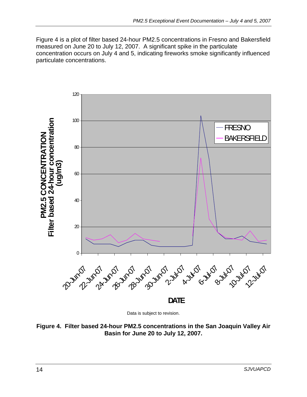<span id="page-13-0"></span>Figure 4 is a plot of filter based 24-hour PM2.5 concentrations in Fresno and Bakersfield measured on June 20 to July 12, 2007. A significant spike in the particulate concentration occurs on July 4 and 5, indicating fireworks smoke significantly influenced particulate concentrations.



Data is subject to revision.

**Figure 4. Filter based 24-hour PM2.5 concentrations in the San Joaquin Valley Air Basin for June 20 to July 12, 2007.**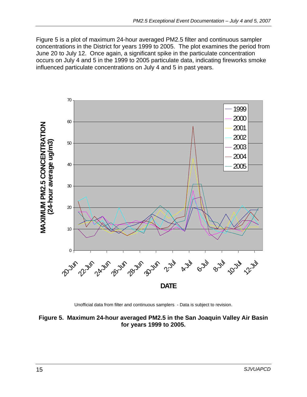<span id="page-14-0"></span>Figure 5 is a plot of maximum 24-hour averaged PM2.5 filter and continuous sampler concentrations in the District for years 1999 to 2005. The plot examines the period from June 20 to July 12. Once again, a significant spike in the particulate concentration occurs on July 4 and 5 in the 1999 to 2005 particulate data, indicating fireworks smoke influenced particulate concentrations on July 4 and 5 in past years.



Unofficial data from filter and continuous samplers - Data is subject to revision.

**Figure 5. Maximum 24-hour averaged PM2.5 in the San Joaquin Valley Air Basin for years 1999 to 2005.**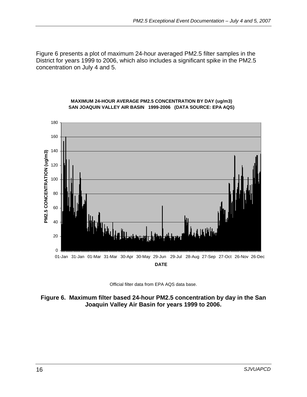<span id="page-15-0"></span>Figure 6 presents a plot of maximum 24-hour averaged PM2.5 filter samples in the District for years 1999 to 2006, which also includes a significant spike in the PM2.5 concentration on July 4 and 5.



#### **MAXIMUM 24-HOUR AVERAGE PM2.5 CONCENTRATION BY DAY (ug/m3) SAN JOAQUIN VALLEY AIR BASIN 1999-2006 (DATA SOURCE: EPA AQS)**



**Figure 6. Maximum filter based 24-hour PM2.5 concentration by day in the San Joaquin Valley Air Basin for years 1999 to 2006.**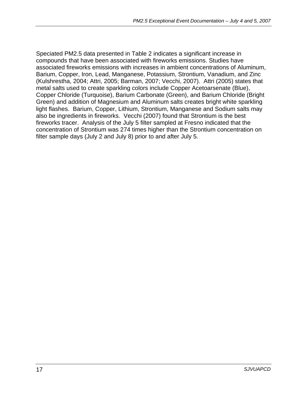Speciated PM2.5 data presented in Table 2 indicates a significant increase in compounds that have been associated with fireworks emissions. Studies have associated fireworks emissions with increases in ambient concentrations of Aluminum, Barium, Copper, Iron, Lead, Manganese, Potassium, Strontium, Vanadium, and Zinc (Kulshrestha, 2004; Attri, 2005; Barman, 2007; Vecchi, 2007). Attri (2005) states that metal salts used to create sparkling colors include Copper Acetoarsenate (Blue), Copper Chloride (Turquoise), Barium Carbonate (Green), and Barium Chloride (Bright Green) and addition of Magnesium and Aluminum salts creates bright white sparkling light flashes. Barium, Copper, Lithium, Strontium, Manganese and Sodium salts may also be ingredients in fireworks. Vecchi (2007) found that Strontium is the best fireworks tracer. Analysis of the July 5 filter sampled at Fresno indicated that the concentration of Strontium was 274 times higher than the Strontium concentration on filter sample days (July 2 and July 8) prior to and after July 5.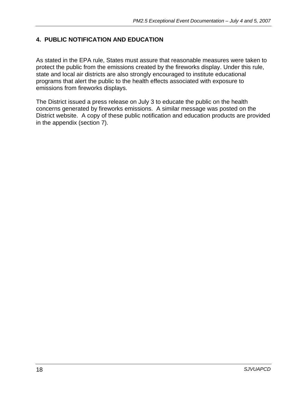#### <span id="page-17-0"></span>**4. PUBLIC NOTIFICATION AND EDUCATION**

As stated in the EPA rule, States must assure that reasonable measures were taken to protect the public from the emissions created by the fireworks display. Under this rule, state and local air districts are also strongly encouraged to institute educational programs that alert the public to the health effects associated with exposure to emissions from fireworks displays.

The District issued a press release on July 3 to educate the public on the health concerns generated by fireworks emissions. A similar message was posted on the District website. A copy of these public notification and education products are provided in the appendix (section 7).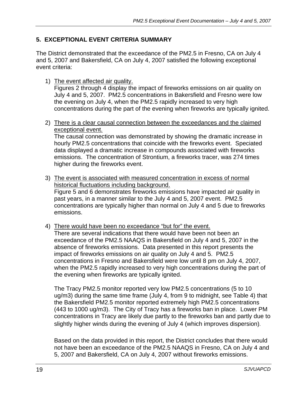### <span id="page-18-0"></span>**5. EXCEPTIONAL EVENT CRITERIA SUMMARY**

The District demonstrated that the exceedance of the PM2.5 in Fresno, CA on July 4 and 5, 2007 and Bakersfield, CA on July 4, 2007 satisfied the following exceptional event criteria:

1) The event affected air quality.

Figures 2 through 4 display the impact of fireworks emissions on air quality on July 4 and 5, 2007. PM2.5 concentrations in Bakersfield and Fresno were low the evening on July 4, when the PM2.5 rapidly increased to very high concentrations during the part of the evening when fireworks are typically ignited.

2) There is a clear causal connection between the exceedances and the claimed exceptional event.

The causal connection was demonstrated by showing the dramatic increase in hourly PM2.5 concentrations that coincide with the fireworks event. Speciated data displayed a dramatic increase in compounds associated with fireworks emissions. The concentration of Strontium, a fireworks tracer, was 274 times higher during the fireworks event.

- 3) The event is associated with measured concentration in excess of normal historical fluctuations including background. Figure 5 and 6 demonstrates fireworks emissions have impacted air quality in past years, in a manner similar to the July 4 and 5, 2007 event. PM2.5 concentrations are typically higher than normal on July 4 and 5 due to fireworks emissions.
- 4) There would have been no exceedance "but for" the event.

There are several indications that there would have been not been an exceedance of the PM2.5 NAAQS in Bakersfield on July 4 and 5, 2007 in the absence of fireworks emissions. Data presented in this report presents the impact of fireworks emissions on air quality on July 4 and 5. PM2.5 concentrations in Fresno and Bakersfield were low until 8 pm on July 4, 2007, when the PM2.5 rapidly increased to very high concentrations during the part of the evening when fireworks are typically ignited.

The Tracy PM2.5 monitor reported very low PM2.5 concentrations (5 to 10 ug/m3) during the same time frame (July 4, from 9 to midnight, see Table 4) that the Bakersfield PM2.5 monitor reported extremely high PM2.5 concentrations (443 to 1000 ug/m3). The City of Tracy has a fireworks ban in place. Lower PM concentrations in Tracy are likely due partly to the fireworks ban and partly due to slightly higher winds during the evening of July 4 (which improves dispersion).

Based on the data provided in this report, the District concludes that there would not have been an exceedance of the PM2.5 NAAQS in Fresno, CA on July 4 and 5, 2007 and Bakersfield, CA on July 4, 2007 without fireworks emissions.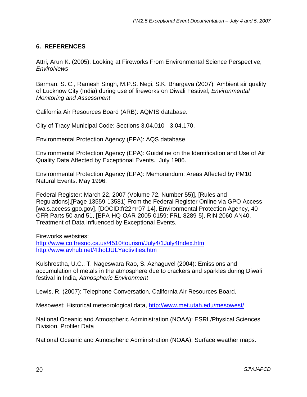#### <span id="page-19-0"></span>**6. REFERENCES**

Attri, Arun K. (2005): Looking at Fireworks From Environmental Science Perspective, *EnviroNews* 

Barman, S. C., Ramesh Singh, M.P.S. Negi, S.K. Bhargava (2007): Ambient air quality of Lucknow City (India) during use of fireworks on Diwali Festival, *Environmental Monitoring and Assessment* 

California Air Resources Board (ARB): AQMIS database.

City of Tracy Municipal Code: Sections 3.04.010 - 3.04.170.

Environmental Protection Agency (EPA): AQS database.

Environmental Protection Agency (EPA): Guideline on the Identification and Use of Air Quality Data Affected by Exceptional Events. July 1986.

Environmental Protection Agency (EPA): Memorandum: Areas Affected by PM10 Natural Events. May 1996.

Federal Register: March 22, 2007 (Volume 72, Number 55)], [Rules and Regulations],[Page 13559-13581] From the Federal Register Online via GPO Access [wais.access.gpo.gov], [DOCID:fr22mr07-14], Environmental Protection Agency, 40 CFR Parts 50 and 51, [EPA-HQ-OAR-2005-0159; FRL-8289-5], RIN 2060-AN40, Treatment of Data Influenced by Exceptional Events.

#### Fireworks websites:

<http://www.co.fresno.ca.us/4510/tourism/July4/1July4Index.htm> <http://www.avhub.net/4thofJULYactivities.htm>

Kulshrestha, U.C., T. Nageswara Rao, S. Azhaguvel (2004): Emissions and accumulation of metals in the atmosphere due to crackers and sparkles during Diwali festival in India, *Atmospheric Environment*

Lewis, R. (2007): Telephone Conversation, California Air Resources Board.

Mesowest: Historical meteorological data, <http://www.met.utah.edu/mesowest/>

National Oceanic and Atmospheric Administration (NOAA): ESRL/Physical Sciences Division, Profiler Data

National Oceanic and Atmospheric Administration (NOAA): Surface weather maps.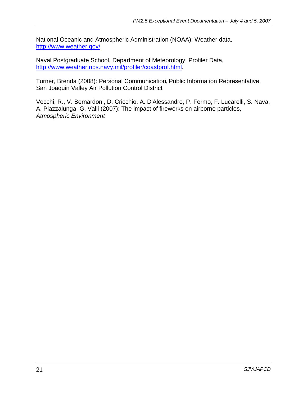National Oceanic and Atmospheric Administration (NOAA): Weather data, <http://www.weather.gov/>.

Naval Postgraduate School, Department of Meteorology: Profiler Data, [http://www.weather.nps.navy.mil/profiler/coastprof.html.](http://www.weather.nps.navy.mil/profiler/coastprof.html)

Turner, Brenda (2008): Personal Communication**,** Public Information Representative, San Joaquin Valley Air Pollution Control District

Vecchi, R., V. Bernardoni, D. Cricchio, A. D'Alessandro, P. Fermo, F. Lucarelli, S. Nava, A. Piazzalunga, G. Valli (2007): The impact of fireworks on airborne particles, *Atmospheric Environment*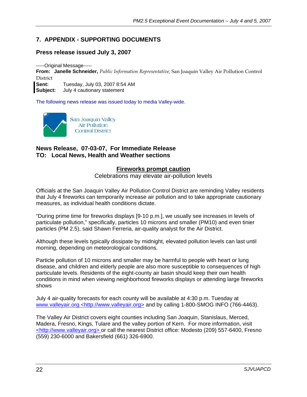#### <span id="page-21-0"></span>**7. APPENDIX - SUPPORTING DOCUMENTS**

#### **Press release issued July 3, 2007**

-----Original Message-----

**From: Janelle Schneider,** *Public Information Representative,* San Joaquin Valley Air Pollution Control District

**Sent:** Tuesday, July 03, 2007 8:54 AM **Subject:** July 4 cautionary statement

The following news release was issued today to media Valley-wide.



#### **News Release, 07-03-07, For Immediate Release TO: Local News, Health and Weather sections**

#### **Fireworks prompt caution**

Celebrations may elevate air-pollution levels

Officials at the San Joaquin Valley Air Pollution Control District are reminding Valley residents that July 4 fireworks can temporarily increase air pollution and to take appropriate cautionary measures, as individual health conditions dictate.

"During prime time for fireworks displays [9-10 p.m.], we usually see increases in levels of particulate pollution," specifically, particles 10 microns and smaller (PM10) and even tinier particles (PM 2.5), said Shawn Ferreria, air-quality analyst for the Air District.

Although these levels typically dissipate by midnight, elevated pollution levels can last until morning, depending on meteorological conditions.

Particle pollution of 10 microns and smaller may be harmful to people with heart or lung disease, and children and elderly people are also more susceptible to consequences of high particulate levels. Residents of the eight-county air basin should keep their own health conditions in mind when viewing neighborhood fireworks displays or attending large fireworks shows

July 4 air-quality forecasts for each county will be available at 4:30 p.m. Tuesday at www.valleyair.org <http://www.valleyair.org> and by calling 1-800-SMOG INFO (766-4463).

The Valley Air District covers eight counties including San Joaquin, Stanislaus, Merced, Madera, Fresno, Kings, Tulare and the valley portion of Kern. For more information, visit <http://www.valleyair.org> or call the nearest District office: Modesto (209) 557-6400, Fresno (559) 230-6000 and Bakersfield (661) 326-6900.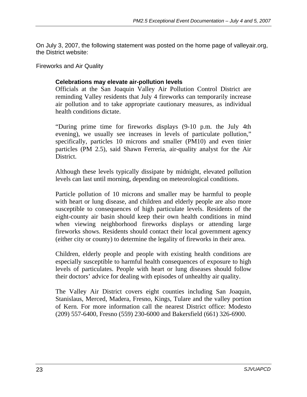On July 3, 2007, the following statement was posted on the home page of valleyair.org, the District website:

Fireworks and Air Quality

### **Celebrations may elevate air-pollution levels**

Officials at the San Joaquin Valley Air Pollution Control District are reminding Valley residents that July 4 fireworks can temporarily increase air pollution and to take appropriate cautionary measures, as individual health conditions dictate.

"During prime time for fireworks displays (9-10 p.m. the July 4th evening), we usually see increases in levels of particulate pollution," specifically, particles 10 microns and smaller (PM10) and even tinier particles (PM 2.5), said Shawn Ferreria, air-quality analyst for the Air District.

Although these levels typically dissipate by midnight, elevated pollution levels can last until morning, depending on meteorological conditions.

Particle pollution of 10 microns and smaller may be harmful to people with heart or lung disease, and children and elderly people are also more susceptible to consequences of high particulate levels. Residents of the eight-county air basin should keep their own health conditions in mind when viewing neighborhood fireworks displays or attending large fireworks shows. Residents should contact their local government agency (either city or county) to determine the legality of fireworks in their area.

Children, elderly people and people with existing health conditions are especially susceptible to harmful health consequences of exposure to high levels of particulates. People with heart or lung diseases should follow their doctors' advice for dealing with episodes of unhealthy air quality.

The Valley Air District covers eight counties including San Joaquin, Stanislaus, Merced, Madera, Fresno, Kings, Tulare and the valley portion of Kern. For more information call the nearest District office: Modesto (209) 557-6400, Fresno (559) 230-6000 and Bakersfield (661) 326-6900.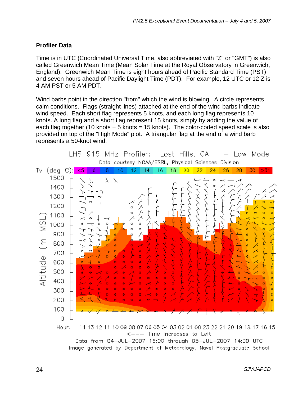#### **Profiler Data**

Time is in UTC (Coordinated Universal Time, also abbreviated with "Z" or "GMT") is also called Greenwich Mean Time (Mean Solar Time at the Royal Observatory in Greenwich, England). Greenwich Mean Time is eight hours ahead of Pacific Standard Time (PST) and seven hours ahead of Pacific Daylight Time (PDT). For example, 12 UTC or 12 Z is 4 AM PST or 5 AM PDT.

Wind barbs point in the direction "from" which the wind is blowing. A circle represents calm conditions. Flags (straight lines) attached at the end of the wind barbs indicate wind speed. Each short flag represents 5 knots, and each long flag represents 10 knots. A long flag and a short flag represent 15 knots, simply by adding the value of each flag together (10 knots  $+ 5$  knots = 15 knots). The color-coded speed scale is also provided on top of the "High Mode" plot. A triangular flag at the end of a wind barb represents a 50-knot wind.

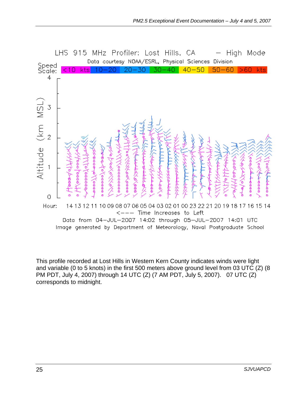

This profile recorded at Lost Hills in Western Kern County indicates winds were light and variable (0 to 5 knots) in the first 500 meters above ground level from 03 UTC (Z) (8 PM PDT, July 4, 2007) through 14 UTC (Z) (7 AM PDT, July 5, 2007). 07 UTC (Z) corresponds to midnight.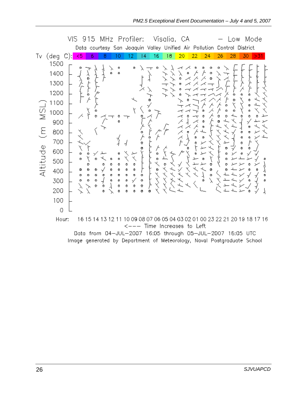|                                               |                                                                                                                           | VIS. |                            | 915                                                 |                  | MHz Profiler:                                                             |                                    |                                                          |                                       | Visalia, CA |    |    |             |    | .OW                                           |                       | Mode                                                                       |
|-----------------------------------------------|---------------------------------------------------------------------------------------------------------------------------|------|----------------------------|-----------------------------------------------------|------------------|---------------------------------------------------------------------------|------------------------------------|----------------------------------------------------------|---------------------------------------|-------------|----|----|-------------|----|-----------------------------------------------|-----------------------|----------------------------------------------------------------------------|
|                                               |                                                                                                                           |      |                            |                                                     |                  | Data courtesy San Joaquin Valley Unified Air Pollution Control            |                                    |                                                          |                                       |             |    |    |             |    |                                               | District              |                                                                            |
| Tv                                            | $(\text{deg } C):$                                                                                                        |      | $5$                        | 6                                                   | 8                | 10                                                                        | 12                                 | 14                                                       | 16                                    | 18          | 20 | 22 | 24          | 26 | 28                                            | 30                    |                                                                            |
| $\frac{1}{2}$<br>$\overline{\Xi}$<br>Altitude | 1500<br>1400<br>1300<br>1200<br>1100<br>1000<br>900<br>800<br>700<br>600<br>500<br>400<br>300<br>200<br>100<br>O<br>Hour: |      | ۲<br>ø<br>o<br>o<br>Φ<br>Φ | o<br>Ø<br>o<br>Ø<br>Φ<br>o<br>ø<br>۰<br>ø<br>o<br>Ø | O<br>σ<br>۰<br>O | Ø<br>۵<br>ø<br>Φ<br>٥<br>σ<br>ெ<br>٥<br>O<br>O<br>$Deta$ from $0A = 0.01$ | O<br>O<br>o<br>ø<br>O<br>O<br><--- | D<br>o<br>o<br>Ø<br>O<br>O<br>۰<br>ø<br>ø<br>Ø<br>o<br>O | o<br>۰<br>ω<br>Time Increases to Left |             |    |    | ø<br>o<br>Φ | Θ  | o<br>2007 18:05 through 05.100 2007 18:05 UTC | O<br>ø<br>O<br>o<br>Ø | 16 15 14 13 12 11 10 09 08 07 06 05 04 03 02 01 00 23 22 21 20 19 18 17 16 |

Data from 04-JUL-2007 16:05 through 05-JUL-2007 16:05 UTC Image generated by Department of Meteorology, Naval Postgraduate School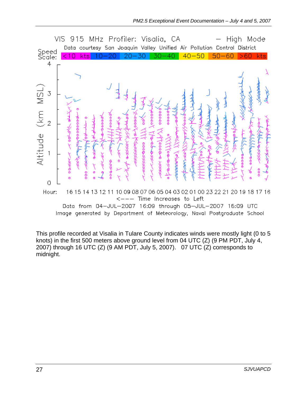

This profile recorded at Visalia in Tulare County indicates winds were mostly light (0 to 5 knots) in the first 500 meters above ground level from 04 UTC (Z) (9 PM PDT, July 4, 2007) through 16 UTC (Z) (9 AM PDT, July 5, 2007). 07 UTC (Z) corresponds to midnight.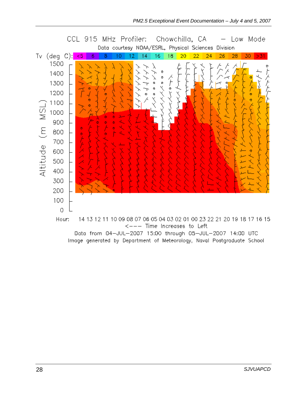

Data from 04-JUL-2007 15:00 through 05-JUL-2007 14:00 UTC Image generated by Department of Meteorology, Naval Postgraduate School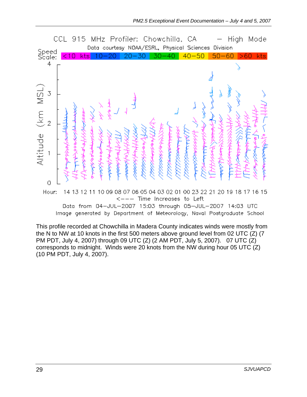

This profile recorded at Chowchilla in Madera County indicates winds were mostly from the N to NW at 10 knots in the first 500 meters above ground level from 02 UTC (Z) (7 PM PDT, July 4, 2007) through 09 UTC (Z) (2 AM PDT, July 5, 2007). 07 UTC (Z) corresponds to midnight. Winds were 20 knots from the NW during hour 05 UTC (Z) (10 PM PDT, July 4, 2007).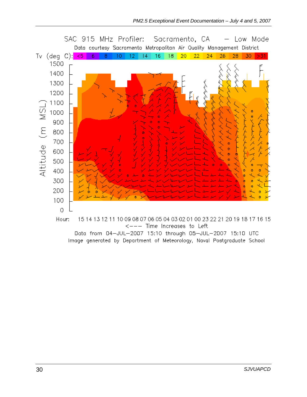

Data from 04-JUL-2007 15:10 through 05-JUL-2007 15:10 UTC Image generated by Department of Meteorology, Naval Postgraduate School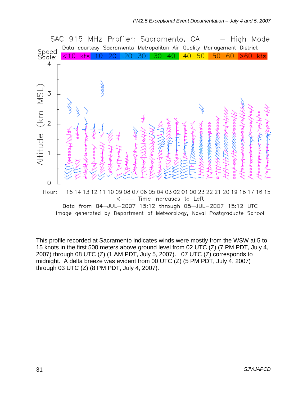

This profile recorded at Sacramento indicates winds were mostly from the WSW at 5 to 15 knots in the first 500 meters above ground level from 02 UTC (Z) (7 PM PDT, July 4, 2007) through 08 UTC (Z) (1 AM PDT, July 5, 2007). 07 UTC (Z) corresponds to midnight. A delta breeze was evident from 00 UTC (Z) (5 PM PDT, July 4, 2007) through 03 UTC (Z) (8 PM PDT, July 4, 2007).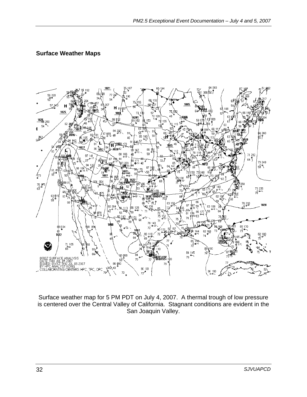#### **Surface Weather Maps**



Surface weather map for 5 PM PDT on July 4, 2007. A thermal trough of low pressure is centered over the Central Valley of California. Stagnant conditions are evident in the San Joaquin Valley.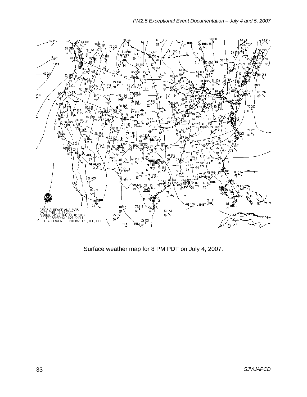

Surface weather map for 8 PM PDT on July 4, 2007.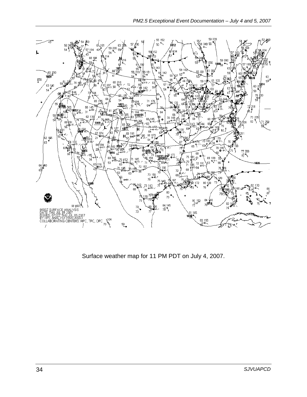

Surface weather map for 11 PM PDT on July 4, 2007.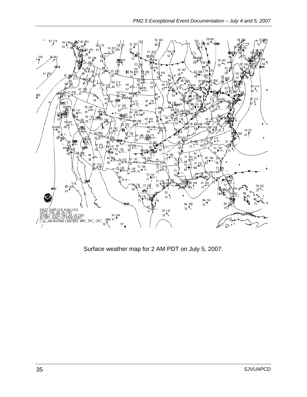

Surface weather map for 2 AM PDT on July 5, 2007.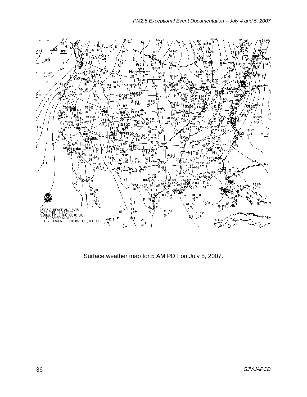

Surface weather map for 5 AM PDT on July 5, 2007.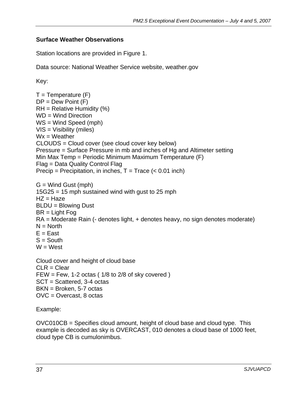#### **Surface Weather Observations**

Station locations are provided in Figure 1.

Data source: National Weather Service website, weather.gov

Key:

 $T =$ Temperature  $(F)$  $DP = Dew Point (F)$  $RH =$  Relative Humidity (%) WD = Wind Direction WS = Wind Speed (mph) VIS = Visibility (miles)  $Wx = Weather$ CLOUDS = Cloud cover (see cloud cover key below) Pressure = Surface Pressure in mb and inches of Hg and Altimeter setting Min Max Temp = Periodic Minimum Maximum Temperature (F) Flag = Data Quality Control Flag Precip = Precipitation, in inches,  $T = Trace$  (< 0.01 inch)  $G =$  Wind Gust (mph) 15G25 = 15 mph sustained wind with gust to 25 mph  $HZ = Haze$ BLDU = Blowing Dust BR = Light Fog RA = Moderate Rain (- denotes light, + denotes heavy, no sign denotes moderate)  $N = North$  $E = East$  $S =$  South  $W = West$ Cloud cover and height of cloud base  $CLR = Clear$ FEW = Few, 1-2 octas  $(1/8$  to  $2/8$  of sky covered  $)$ SCT = Scattered, 3-4 octas BKN = Broken, 5-7 octas OVC = Overcast, 8 octas

Example:

OVC010CB = Specifies cloud amount, height of cloud base and cloud type. This example is decoded as sky is OVERCAST, 010 denotes a cloud base of 1000 feet, cloud type CB is cumulonimbus.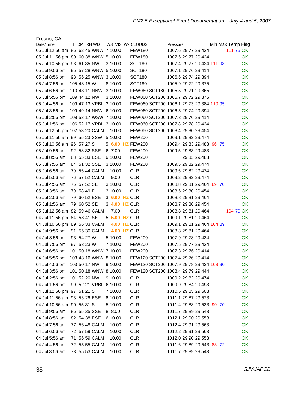| Fresno, CA                           |             |  |                        |                    |                  |                                          |              |                   |
|--------------------------------------|-------------|--|------------------------|--------------------|------------------|------------------------------------------|--------------|-------------------|
| Date/Time                            |             |  | T DP RHWD              |                    | WS VIS Wx CLOUDS | Pressure                                 |              | Min Max Temp Flag |
| 06 Jul 12:56 am 86 62 45 WNW 7 10.00 |             |  |                        |                    | <b>FEW180</b>    | 1007.6 29.77 29.424                      |              | 111 75 OK         |
| 05 Jul 11:56 pm 89 60 38 WNW 5 10.00 |             |  |                        |                    | FEW180           | 1007.6 29.77 29.424                      |              | ОK                |
| 05 Jul 10:56 pm 93 61 35 NW          |             |  |                        | 3 10.00            | <b>SCT180</b>    | 1007.4 29.77 29.424 111 93               |              | OK.               |
| 05 Jul 9:56 pm                       |             |  | 95 57 28 WNW 5 10.00   |                    | <b>SCT180</b>    | 1007.1 29.76 29.414                      |              | ОK                |
| 05 Jul 8:56 pm                       |             |  | 98 56 25 WNW 3 10.00   |                    | <b>SCT180</b>    | 1006.6 29.74 29.394                      |              | ОK                |
| 05 Jul 7:56 pm                       | 105 48 15 W |  |                        | 8 10.00            | <b>SCT180</b>    | 1005.9 29.72 29.375                      |              | ОK                |
| 05 Jul 6:56 pm                       |             |  | 110 43 11 NNW 3 10.00  |                    |                  | FEW060 SCT180 1005.5 29.71 29.365        |              | OK.               |
| 05 Jul 5:56 pm                       |             |  | 109 44 12 NW           | 3 10.00            |                  | FEW060 SCT200 1005.7 29.72 29.375        |              | ОK                |
| 05 Jul 4:56 pm                       |             |  | 109 47 13 VRBL 3 10.00 |                    |                  | FEW060 SCT200 1006.1 29.73 29.384 110 95 |              | OK.               |
| 05 Jul 3:56 pm                       |             |  | 109 49 14 NNW 6 10.00  |                    |                  | FEW060 SCT200 1006.5 29.74 29.394        |              | OK                |
| 05 Jul 2:56 pm                       |             |  | 108 53 17 WSW 7 10.00  |                    |                  | FEW060 SCT200 1007.3 29.76 29.414        |              | <b>OK</b>         |
| 05 Jul 1:56 pm                       |             |  | 106 52 17 VRBL 3 10.00 |                    |                  | FEW060 SCT200 1007.8 29.78 29.434        |              | <b>OK</b>         |
| 05 Jul 12:56 pm 102 53 20 CALM       |             |  |                        | 10.00              |                  | FEW060 SCT200 1008.4 29.80 29.454        |              | <b>OK</b>         |
| 05 Jul 11:56 am 99 55 23 SSW 5 10.00 |             |  |                        |                    | <b>FEW200</b>    | 1009.1 29.82 29.474                      |              | OK.               |
| 05 Jul 10:56 am 96 57 27 S           |             |  |                        |                    | 5 6.00 HZ FEW200 | 1009.4 29.83 29.483 96 75                |              | OK.               |
| 05 Jul 9:56 am                       |             |  | 92 58 32 SSE           | 6 7.00             | <b>FEW200</b>    | 1009.5 29.83 29.483                      |              | OK.               |
| 05 Jul 8:56 am                       |             |  | 88 55 33 ESE           | 6 10.00            | <b>FEW200</b>    |                                          | 29.83 29.483 | OK.               |
| 05 Jul 7:56 am                       |             |  | 84 51 32 SSE           | 3 10.00            | <b>FEW200</b>    | 1009.5 29.82 29.474                      |              | OK.               |
| 05 Jul 6:56 am                       |             |  | 79 55 44 CALM          | 10.00              | <b>CLR</b>       | 1009.5 29.82 29.474                      |              | <b>OK</b>         |
| 05 Jul 5:56 am                       |             |  | 76 57 52 CALM          | 9.00               | <b>CLR</b>       | 1009.2 29.82 29.474                      |              | <b>OK</b>         |
| 05 Jul 4:56 am                       | 76 57 52 SE |  |                        | 3 10.00            | <b>CLR</b>       | 1008.8 29.81 29.464 89 76                |              | <b>OK</b>         |
| 05 Jul 3:56 am                       | 79 58 49 E  |  |                        | 3 10.00            | <b>CLR</b>       | 1008.6 29.80 29.454                      |              | <b>OK</b>         |
| 05 Jul 2:56 am                       |             |  | 79 60 52 ESE           | 3 6.00 HZ CLR      |                  | 1008.8 29.81 29.464                      |              | <b>OK</b>         |
| 05 Jul 1:56 am                       |             |  | 79 60 52 SE            | 3 4.00 HZ CLR      |                  | 1008.7 29.80 29.454                      |              | OK.               |
| 05 Jul 12:56 am 82 59 46 CALM        |             |  |                        | 7.00               | <b>CLR</b>       | 1008.8 29.81 29.464                      |              | 104 70 OK         |
| 04 Jul 11:56 pm 84 58 41 SE          |             |  |                        | 5 5.00 HZ CLR      |                  | 1009.1 29.81 29.464                      |              | OK.               |
| 04 Jul 10:56 pm 89 56 33 CALM        |             |  |                        | <b>4.00 HZ CLR</b> |                  | 1009.1 29.81 29.464 104 89               |              | OK.               |
|                                      |             |  | 91 55 30 CALM          | <b>4.00 HZ CLR</b> |                  | 1008.8 29.81 29.464                      |              | ОK                |
| 04 Jul 9:56 pm                       |             |  |                        | 5 10.00            | <b>FEW200</b>    | 1007.9 29.78 29.434                      |              | <b>OK</b>         |
| 04 Jul 8:56 pm                       | 93 54 27 W  |  |                        |                    |                  |                                          |              |                   |
| 04 Jul 7:56 pm                       | 97 53 23 W  |  |                        | 7 10.00            | <b>FEW200</b>    | 1007.5 29.77 29.424                      |              | <b>OK</b>         |
| 04 Jul 6:56 pm                       |             |  | 101 50 18 WNW 7 10.00  |                    | <b>FEW200</b>    | 1007.3 29.76 29.414                      |              | OK                |
| 04 Jul 5:56 pm                       |             |  | 103 48 16 WNW 8 10.00  |                    |                  | FEW120 SCT200 1007.4 29.76 29.414        |              | ОK                |
| 04 Jul 4:56 pm                       |             |  | 103 50 17 NW           | 9 10.00            |                  | FEW120 SCT200 1007.9 29.78 29.434 103 90 |              | OK                |
| 04 Jul 3:56 pm                       |             |  | 101 50 18 WNW 8 10.00  |                    |                  | FEW120 SCT200 1008.4 29.79 29.444        |              | OK                |
| 04 Jul 2:56 pm                       |             |  | 101 52 20 NW           | 9 10.00            | <b>CLR</b>       | 1009.2 29.82 29.474                      |              | OK                |
| 04 Jul 1:56 pm                       |             |  | 99 52 21 VRBL 6 10.00  |                    | <b>CLR</b>       | 1009.9 29.84 29.493                      |              | OK                |
| 04 Jul 12:56 pm 97 51 21 S           |             |  |                        | 7 10.00            | <b>CLR</b>       | 1010.5 29.85 29.503                      |              | OK                |
| 04 Jul 11:56 am 93 53 26 ESE         |             |  |                        | 6 10.00            | <b>CLR</b>       | 1011.1 29.87 29.523                      |              | OK                |
| 04 Jul 10:56 am 90 55 31 S           |             |  |                        | 5 10.00            | <b>CLR</b>       | 1011.4 29.88 29.533 90 70                |              | OK                |
| 04 Jul 9:56 am                       |             |  | 86 55 35 SSE           | 8 8.00             | <b>CLR</b>       | 1011.7 29.89 29.543                      |              | OK                |
| 04 Jul 8:56 am                       |             |  | 82 54 38 ESE           | 6 10.00            | <b>CLR</b>       | 1012.1 29.90 29.553                      |              | OK                |
| 04 Jul 7:56 am                       |             |  | 77 56 48 CALM          | 10.00              | <b>CLR</b>       | 1012.4 29.91 29.563                      |              | OK                |
| 04 Jul 6:56 am                       |             |  | 72 57 59 CALM          | 10.00              | <b>CLR</b>       | 1012.2 29.91 29.563                      |              | OK                |
| 04 Jul 5:56 am                       |             |  | 71 56 59 CALM          | 10.00              | <b>CLR</b>       | 1012.0 29.90 29.553                      |              | OK                |
| 04 Jul 4:56 am                       |             |  | 72 55 55 CALM          | 10.00              | <b>CLR</b>       | 1011.6 29.89 29.543 83 72                |              | OK.               |
| 04 Jul 3:56 am                       |             |  | 73 55 53 CALM          | 10.00              | <b>CLR</b>       | 1011.7 29.89 29.543                      |              | OK                |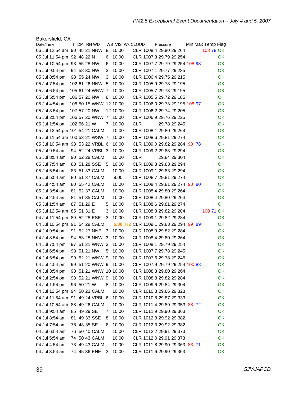| Bakersfield, CA                 |             |  |                       |   |                 |            |          |                                       |  |                   |           |
|---------------------------------|-------------|--|-----------------------|---|-----------------|------------|----------|---------------------------------------|--|-------------------|-----------|
| Date/Time                       |             |  | T DP RHWD             |   | WS VIS Wx CLOUD |            | Pressure |                                       |  | Min Max Temp Flag |           |
| 06 Jul 12:54 am 90 45 21 NNW    |             |  |                       | 8 | 10.00           |            |          | CLR 1008.4 29.80 29.264               |  | 108 78 OK         |           |
| 05 Jul 11:54 pm 92 48 22 N      |             |  |                       | 6 | 10.00           |            |          | CLR 1007.8 29.79 29.254               |  |                   | OK.       |
| 05 Jul 10:54 pm 93 55 28 NW     |             |  |                       | 6 | 10.00           |            |          | CLR 1007.7 29.79 29.254 108 93        |  |                   | OK        |
| 05 Jul 9:54 pm                  |             |  | 94 58 30 NW           | 3 | 10.00           |            |          | CLR 1007.1 29.77 29.235               |  |                   | OK        |
| 05 Jul 8:54 pm                  |             |  | 98 55 24 NW           | 3 | 10.00           |            |          | CLR 1006.4 29.75 29.215               |  |                   | OK        |
| 05 Jul 7:54 pm                  |             |  | 102 61 26 NNW         | 5 | 10.00           |            |          | CLR 1005.9 29.73 29.195               |  |                   | <b>OK</b> |
| 05 Jul 6:54 pm                  |             |  | 105 61 24 WNW 7       |   | 10.00           |            |          | CLR 1005.7 29.73 29.195               |  |                   | OK.       |
| 05 Jul 5:54 pm                  |             |  | 106 57 20 NW          | 8 | 10.00           |            |          | CLR 1005.5 29.72 29.185               |  |                   | OK.       |
| 05 Jul 4:54 pm                  |             |  | 108 50 15 WNW         |   | 12 10.00        |            |          | CLR 1006.0 29.73 29.195 108 97        |  |                   | OK.       |
| 05 Jul 3:54 pm                  |             |  | 107 57 20 NW          |   | 12 10.00        |            |          | CLR 1006.2 29.74 29.205               |  |                   | OK.       |
| 05 Jul 2:54 pm                  |             |  | 106 57 20 WNW 7       |   | 10.00           |            |          | CLR 1006.9 29.76 29.225               |  |                   | <b>OK</b> |
| 05 Jul 1:54 pm                  | 102 56 21 W |  |                       | 7 | 10.00           | CLR        |          | 29.78 29.245                          |  |                   | OK        |
| 05 Jul 12:54 pm 101 54 21 CALM  |             |  |                       |   | 10.00           |            |          | CLR 1008.1 29.80 29.264               |  |                   | <b>OK</b> |
| 05 Jul 11:54 am 100 53 21 WSW 7 |             |  |                       |   | 10.00           |            |          | CLR 1008.6 29.81 29.274               |  |                   | OK.       |
| 05 Jul 10:54 am 98 53 22 VRBL 6 |             |  |                       |   | 10.00           |            |          | CLR 1009.0 29.82 29.284 98 78         |  |                   | <b>OK</b> |
| 05 Jul 9:54 am                  |             |  | 94 52 24 VRBL 3       |   | 10.00           |            |          | CLR 1009.2 29.83 29.294               |  |                   | OK.       |
| 05 Jul 8:54 am                  |             |  | 90 52 28 CALM         |   | 10.00           | <b>CLR</b> |          | 29.84 29.304                          |  |                   | OK.       |
| 05 Jul 7:54 am                  |             |  | 88 51 28 SSE          | 5 | 10.00           |            |          | CLR 1009.3 29.83 29.294               |  |                   | OK.       |
| 05 Jul 6:54 am                  |             |  | 83 51 33 CALM         |   | 10.00           |            |          | CLR 1009.1 29.83 29.294               |  |                   | <b>OK</b> |
| 05 Jul 5:54 am                  |             |  | 80 51 37 CALM         |   | 9.00            |            |          | CLR 1008.7 29.81 29.274               |  |                   | OK.       |
| 05 Jul 4:54 am                  |             |  | 80 55 42 CALM         |   | 10.00           |            |          | CLR 1008.4 29.81 29.274 90 80         |  |                   | OK        |
| 05 Jul 3:54 am                  | 81          |  | 52 37 CALM            |   | 10.00           |            |          | CLR 1008.4 29.80 29.264               |  |                   | OK.       |
| 05 Jul 2:54 am                  | 81.         |  | 51 35 CALM            |   | 10.00           |            |          | CLR 1008.4 29.80 29.264               |  |                   | OK        |
| 05 Jul 1:54 am                  | 87 51 29 E  |  |                       | 5 | 10.00           |            |          | CLR 1008.6 29.81 29.274               |  |                   | OK        |
| 05 Jul 12:54 am 85 51 31 E      |             |  |                       | 3 | 10.00           |            |          | CLR 1008.8 29.82 29.284               |  | 100 71 OK         |           |
| 04 Jul 11:54 pm 89 52 28 ESE    |             |  |                       | 3 | 10.00           |            |          | CLR 1009.1 29.82 29.284               |  |                   | OK.       |
| 04 Jul 10:54 pm 91 54 29 CALM   |             |  |                       |   |                 |            |          | 5.00 HZ CLR 1009.1 29.83 29.294 99 89 |  |                   | OK.       |
| 04 Jul 9:54 pm                  | 91          |  | 52 27 NNE             | 3 | 10.00           |            |          | CLR 1008.9 29.82 29.284               |  |                   | OK.       |
| 04 Jul 8:54 pm                  |             |  | 94 53 25 NNW          | 3 | 10.00           |            |          | CLR 1008.4 29.80 29.264               |  |                   | OK.       |
| 04 Jul 7:54 pm                  |             |  | 97 51 21 WNW 3        |   | 10.00           |            |          | CLR 1008.1 29.79 29.254               |  |                   | OK.       |
| 04 Jul 6:54 pm                  |             |  | 98 51 21 NW           | 5 | 10.00           |            |          | CLR 1007.7 29.78 29.245               |  |                   | <b>OK</b> |
| 04 Jul 5:54 pm                  |             |  | 99 52 21 WNW 9        |   | 10.00           |            |          | CLR 1007.6 29.78 29.245               |  |                   | OK        |
| 04 Jul 4:54 pm                  |             |  | 99 51 20 WNW 9        |   | 10.00           |            |          | CLR 1007.9 29.79 29.254 100 88        |  |                   | OK.       |
| 04 Jul 3:54 pm                  |             |  | 98 51 21 WNW 10 10.00 |   |                 |            |          | CLR 1008.3 29.80 29.264               |  |                   | OK        |
| 04 Jul 2:54 pm                  |             |  | 98 52 21 WNW 9        |   | 10.00           |            |          | CLR 1008.8 29.82 29.284               |  |                   | OK        |
| 04 Jul 1:54 pm                  | 96 50 21 W  |  |                       | 8 | 10.00           |            |          | CLR 1009.6 29.84 29.304               |  |                   | OK        |
| 04 Jul 12:54 pm 94 50 23 CALM   |             |  |                       |   | 10.00           |            |          | CLR 1010.3 29.86 29.323               |  |                   | OK        |
| 04 Jul 11:54 am 91 49 24 VRBL 6 |             |  |                       |   | 10.00           |            |          | CLR 1010.8 29.87 29.333               |  |                   | OK.       |
| 04 Jul 10:54 am 88 49 26 CALM   |             |  |                       |   | 10.00           |            |          | CLR 1011.4 29.89 29.353 88 72         |  |                   | OK        |
| 04 Jul 9:54 am                  | 85 49 29 SE |  |                       | 7 | 10.00           |            |          | CLR 1011.9 29.90 29.363               |  |                   | OK        |
| 04 Jul 8:54 am                  |             |  | 81 49 33 SSE          | 8 | 10.00           |            |          | CLR 1012.3 29.92 29.382               |  |                   | OK        |
| 04 Jul 7:54 am                  | 78 48 35 SE |  |                       | 8 | 10.00           |            |          | CLR 1012.3 29.92 29.382               |  |                   | OK        |
| 04 Jul 6:54 am                  |             |  | 76 50 40 CALM         |   | 10.00           |            |          | CLR 1012.2 29.91 29.373               |  |                   | OK        |
| 04 Jul 5:54 am                  |             |  | 74 50 43 CALM         |   | 10.00           |            |          | CLR 1012.0 29.91 29.373               |  |                   | OK        |
| 04 Jul 4:54 am                  |             |  | 73 49 43 CALM         |   | 10.00           |            |          | CLR 1011.8 29.90 29.363 83 71         |  |                   | OK        |
| 04 Jul 3:54 am                  |             |  | 74 45 36 ENE          | 3 | 10.00           |            |          | CLR 1011.6 29.90 29.363               |  |                   | OK        |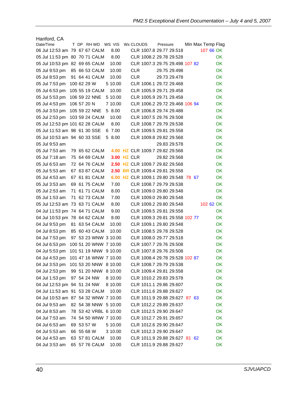| Hanford, CA                          |             |  |                       |                    |            |                                   |  |                   |           |
|--------------------------------------|-------------|--|-----------------------|--------------------|------------|-----------------------------------|--|-------------------|-----------|
| Date/Time                            |             |  | T DP RHWD WS VIS      |                    | Wx CLOUDS  | Pressure                          |  | Min Max Temp Flag |           |
| 06 Jul 12:53 am 79 67 67 CALM        |             |  |                       | 8.00               |            | CLR 1007.8 29.77 29.518           |  | 107 66 OK         |           |
| 05 Jul 11:53 pm 80 70 71 CALM        |             |  |                       | 8.00               |            | CLR 1008.2 29.78 29.528           |  |                   | <b>OK</b> |
| 05 Jul 10:53 pm 82 69 65 CALM        |             |  |                       | 10.00              |            | CLR 1007.3 29.75 29.498 107 82    |  |                   | OK        |
| 05 Jul 9:53 pm                       |             |  | 85 66 53 CALM         | 10.00              | <b>CLR</b> | 29.75 29.498                      |  |                   | OK        |
| 05 Jul 8:53 pm                       |             |  | 91 64 41 CALM         | 10.00              | CLR        | 29.73 29.478                      |  |                   | OK        |
| 05 Jul 7:53 pm                       | 100 62 29 W |  |                       | 5 10.00            |            | CLR 1006.1 29.72 29.468           |  |                   | OK        |
| 05 Jul 6:53 pm                       |             |  | 105 55 19 CALM        | 10.00              |            | CLR 1005.9 29.71 29.458           |  |                   | OK        |
| 05 Jul 5:53 pm                       |             |  | 106 59 22 NNE         | 5 10.00            |            | CLR 1005.9 29.71 29.458           |  |                   | OK        |
| 05 Jul 4:53 pm                       | 106 57 20 N |  |                       | 7 10.00            |            | CLR 1006.2 29.72 29.468 106 94    |  |                   | OK        |
| 05 Jul 3:53 pm                       |             |  | 105 59 22 NNE         | 5 8.00             |            | CLR 1006.8 29.74 29.488           |  |                   | <b>OK</b> |
| 05 Jul 2:53 pm                       |             |  | 103 59 24 CALM        | 10.00              |            | CLR 1007.5 29.76 29.508           |  |                   | OK        |
| 05 Jul 12:53 pm 101 62 28 CALM       |             |  |                       | 8.00               |            | CLR 1008.7 29.79 29.538           |  |                   | <b>OK</b> |
| 05 Jul 11:53 am 98 61 30 SSE         |             |  |                       | 6 7.00             |            | CLR 1009.5 29.81 29.558           |  |                   | <b>OK</b> |
| 05 Jul 10:53 am 94 60 33 SSE         |             |  |                       | 5 8.00             |            | CLR 1009.8 29.82 29.568           |  |                   | OK.       |
| 05 Jul 9:53 am                       |             |  |                       |                    |            | 29.83 29.578                      |  |                   | OK        |
| 05 Jul 7:53 am                       |             |  | 79 65 62 CALM         | 4.00               |            | HZ CLR 1009.7 29.82 29.568        |  |                   | OK        |
| 05 Jul 7:18 am                       |             |  | 75 64 69 CALM         | <b>3.00 HZ CLR</b> |            | 29.82 29.568                      |  |                   | OK        |
| 05 Jul 6:53 am                       |             |  | 72 64 76 CALM         | 2.50               |            | HZ CLR 1009.7 29.82 29.568        |  |                   | OK        |
| 05 Jul 5:53 am                       |             |  | 67 63 87 CALM         | 2.50               |            | <b>BR CLR 1009.4 29.81 29.558</b> |  |                   | <b>OK</b> |
| 05 Jul 4:53 am                       |             |  | 67 61 81 CALM         | 6.00               |            | HZ CLR 1009.1 29.80 29.548 78 67  |  |                   | <b>OK</b> |
| 05 Jul 3:53 am                       |             |  | 69 61 75 CALM         | 7.00               |            | CLR 1008.7 29.79 29.538           |  |                   | <b>OK</b> |
| 05 Jul 2:53 am                       |             |  | 71 61 71 CALM         | 8.00               |            | CLR 1009.0 29.80 29.548           |  |                   | <b>OK</b> |
| 05 Jul 1:53 am                       |             |  | 71 62 73 CALM         | 7.00               |            | CLR 1009.0 29.80 29.548           |  |                   | OK        |
| 05 Jul 12:53 am 73 63 71 CALM        |             |  |                       | 8.00               |            | CLR 1009.2 29.80 29.548           |  | 102 62 OK         |           |
| 04 Jul 11:53 pm 74 64 71 CALM        |             |  |                       | 9.00               |            | CLR 1009.5 29.81 29.558           |  |                   | OK        |
| 04 Jul 10:53 pm 78 64 62 CALM        |             |  |                       | 8.00               |            | CLR 1009.3 29.81 29.558 102 77    |  |                   | OK        |
| 04 Jul 9:53 pm                       |             |  | 81 63 54 CALM         | 10.00              |            | CLR 1009.1 29.80 29.548           |  |                   | OK        |
| 04 Jul 8:53 pm                       |             |  | 85 60 43 CALM         | 10.00              |            | CLR 1008.5 29.78 29.528           |  |                   | OK.       |
| 04 Jul 7:53 pm                       |             |  | 97 53 23 WNW 3 10.00  |                    |            | CLR 1008.0 29.77 29.518           |  |                   | <b>OK</b> |
| 04 Jul 6:53 pm                       |             |  | 100 51 20 WNW 7 10.00 |                    |            | CLR 1007.7 29.76 29.508           |  |                   | OK        |
| 04 Jul 5:53 pm                       |             |  | 101 51 19 NNW 9 10.00 |                    |            | CLR 1007.8 29.76 29.508           |  |                   | OK        |
| 04 Jul 4:53 pm                       |             |  | 101 47 16 WNW 7 10.00 |                    |            | CLR 1008.4 29.78 29.528 102 87    |  |                   | <b>OK</b> |
| 04 Jul 3:53 pm 101 53 20 NNW 8 10.00 |             |  |                       |                    |            | CLR 1008.7 29.79 29.538           |  |                   | OK        |
| 04 Jul 2:53 pm                       |             |  | 99 51 20 NNW          | 8 10.00            |            | CLR 1009.4 29.81 29.558           |  |                   | OK        |
| 04 Jul 1:53 pm                       |             |  | 97 54 24 NW           | 8 10.00            |            | CLR 1010.2 29.83 29.578           |  |                   | OK        |
| 04 Jul 12:53 pm 94 51 24 NW          |             |  |                       | 8 10.00            |            | CLR 1011.1 29.86 29.607           |  |                   | OK        |
| 04 Jul 11:53 am 91 53 28 CALM        |             |  |                       | 10.00              |            | CLR 1011.6 29.88 29.627           |  |                   | OK        |
| 04 Jul 10:53 am 87 54 32 WNW 7 10.00 |             |  |                       |                    |            | CLR 1011.9 29.88 29.627 87 63     |  |                   | OK        |
| 04 Jul 9:53 am                       |             |  | 82 54 38 NNW 5 10.00  |                    |            | CLR 1012.2 29.89 29.637           |  |                   | <b>OK</b> |
| 04 Jul 8:53 am                       |             |  | 78 53 42 VRBL 6 10.00 |                    |            | CLR 1012.5 29.90 29.647           |  |                   | <b>OK</b> |
| 04 Jul 7:53 am                       |             |  | 74 54 50 WNW 7 10.00  |                    |            | CLR 1012.7 29.91 29.657           |  |                   | OK        |
| 04 Jul 6:53 am                       | 69 53 57 W  |  |                       | 5 10.00            |            | CLR 1012.6 29.90 29.647           |  |                   | OK        |
| 04 Jul 5:53 am                       | 66 55 68 W  |  |                       | 3 10.00            |            | CLR 1012.3 29.90 29.647           |  |                   | <b>OK</b> |
| 04 Jul 4:53 am                       |             |  | 63 57 81 CALM         | 10.00              |            | CLR 1011.9 29.88 29.627 81 62     |  |                   | OK        |
| 04 Jul 3:53 am                       |             |  | 65 57 76 CALM         | 10.00              |            | CLR 1011.9 29.88 29.627           |  |                   | OK        |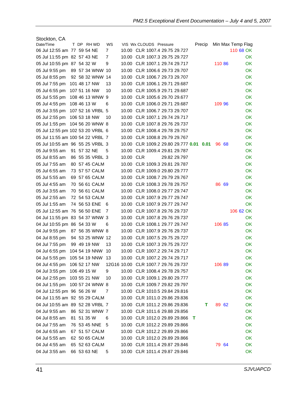| Stockton, CA                     |              |  |                  |                                     |           |                        |                                         |              |        |        |                   |
|----------------------------------|--------------|--|------------------|-------------------------------------|-----------|------------------------|-----------------------------------------|--------------|--------|--------|-------------------|
| Date/Time                        |              |  | T DP RHWD        | WS                                  |           | VIS Wx CLOUDS Pressure |                                         |              | Precip |        | Min Max Temp Flag |
| 06 Jul 12:55 am 77 59 54 NE      |              |  |                  | 7                                   |           |                        | 10.00 CLR 1007.4 29.75 29.727           |              |        |        | 110 68 OK         |
| 05 Jul 11:55 pm 82 57 43 NE      |              |  |                  | 7                                   |           |                        | 10.00 CLR 1007.3 29.75 29.727           |              |        |        | OK.               |
| 05 Jul 10:55 pm 87 54 32 W       |              |  |                  | 9                                   |           |                        | 10.00 CLR 1007.1 29.74 29.717           |              |        | 110 86 | OK.               |
| 05 Jul 9:55 pm                   |              |  | 89 57 34 WNW 10  |                                     |           |                        | 10.00 CLR 1006.6 29.73 29.707           |              |        |        | OK.               |
| 05 Jul 8:55 pm                   |              |  | 92 58 32 WNW 14  |                                     |           |                        | 10.00 CLR 1006.7 29.73 29.707           |              |        |        | <b>OK</b>         |
| 05 Jul 7:55 pm                   |              |  | 101 48 17 NW     | 13                                  |           |                        | 10.00 CLR 1006.1 29.71 29.687           |              |        |        | OK                |
| 05 Jul 6:55 pm                   |              |  | 107 51 16 NW     | 10                                  |           |                        | 10.00 CLR 1005.9 29.71 29.687           |              |        |        | OK                |
| 05 Jul 5:55 pm                   |              |  | 108 46 13 WNW 9  |                                     |           |                        | 10.00 CLR 1005.6 29.70 29.677           |              |        |        | OK.               |
| 05 Jul 4:55 pm                   | 108 46 13 W  |  |                  | 6                                   |           |                        | 10.00 CLR 1006.0 29.71 29.687           |              |        | 109 96 | <b>OK</b>         |
| 05 Jul 3:55 pm                   |              |  | 107 52 16 VRBL 5 |                                     |           |                        | 10.00 CLR 1006.7 29.73 29.707           |              |        |        | <b>OK</b>         |
| 05 Jul 2:55 pm                   |              |  | 106 53 18 NW     | 10                                  |           |                        | 10.00 CLR 1007.1 29.74 29.717           |              |        |        | <b>OK</b>         |
| 05 Jul 1:55 pm 104 56 20 WNW 8   |              |  |                  |                                     |           |                        | 10.00 CLR 1007.8 29.76 29.737           |              |        |        | OK.               |
| 05 Jul 12:55 pm 102 53 20 VRBL 6 |              |  |                  |                                     |           |                        | 10.00 CLR 1008.4 29.78 29.757           |              |        |        | <b>OK</b>         |
| 05 Jul 11:55 am 100 54 22 VRBL 7 |              |  |                  |                                     |           |                        | 10.00 CLR 1008.8 29.79 29.767           |              |        |        | <b>OK</b>         |
| 05 Jul 10:55 am 96 55 25 VRBL 3  |              |  |                  |                                     |           |                        | 10.00 CLR 1009.2 29.80 29.777 0.01 0.01 |              |        | 96 68  | <b>OK</b>         |
| 05 Jul 9:55 am                   | 91 57 32 NE  |  |                  | 5                                   |           |                        | 10.00 CLR 1009.4 29.81 29.787           |              |        |        | <b>OK</b>         |
| 05 Jul 8:55 am                   |              |  | 86 55 35 VRBL 3  |                                     | 10.00 CLR |                        | 29.82 29.797                            |              |        |        | OK.               |
| 05 Jul 7:55 am                   |              |  | 80 57 45 CALM    |                                     |           |                        | 10.00 CLR 1009.3 29.81 29.787           |              |        |        | <b>OK</b>         |
| 05 Jul 6:55 am                   |              |  | 73 57 57 CALM    |                                     |           |                        | 10.00 CLR 1009.0 29.80 29.777           |              |        |        | <b>OK</b>         |
| 05 Jul 5:55 am                   |              |  | 69 57 65 CALM    |                                     |           |                        | 10.00 CLR 1008.7 29.79 29.767           |              |        |        | OK.               |
| 05 Jul 4:55 am                   |              |  | 70 56 61 CALM    |                                     |           |                        | 10.00 CLR 1008.3 29.78 29.757           |              |        | 86 69  | OK.               |
| 05 Jul 3:55 am                   |              |  | 70 56 61 CALM    |                                     |           |                        | 10.00 CLR 1008.0 29.77 29.747           |              |        |        | <b>OK</b>         |
| 05 Jul 2:55 am                   |              |  | 72 54 53 CALM    |                                     |           |                        | 10.00 CLR 1007.9 29.77 29.747           |              |        |        | OK.               |
| 05 Jul 1:55 am                   |              |  | 74 56 53 ENE 6   |                                     |           |                        | 10.00 CLR 1007.9 29.77 29.747           |              |        |        | OK.               |
| 05 Jul 12:55 am 76 56 50 ENE     |              |  |                  | -7                                  |           |                        | 10.00 CLR 1007.8 29.76 29.737           |              |        |        | 106 62 OK         |
| 04 Jul 11:55 pm 83 54 37 WNW 3   |              |  |                  |                                     |           |                        | 10.00 CLR 1007.8 29.76 29.737           |              |        |        | OK.               |
| 04 Jul 10:55 pm 86 54 33 W       |              |  |                  | 6                                   |           |                        | 10.00 CLR 1008.1 29.77 29.747           |              |        | 106 85 | <b>OK</b>         |
| 04 Jul 9:55 pm                   |              |  | 87 56 35 WNW 8   |                                     |           |                        | 10.00 CLR 1007.9 29.76 29.737           |              |        |        | <b>OK</b>         |
| 04 Jul 8:55 pm                   |              |  | 94 53 25 WNW 12  |                                     |           |                        | 10.00 CLR 1007.5 29.75 29.727           |              |        |        | <b>OK</b>         |
| 04 Jul 7:55 pm                   |              |  | 99 49 19 NW      | 13                                  |           |                        | 10.00 CLR 1007.3 29.75 29.727           |              |        |        | OK.               |
| 04 Jul 6:55 pm                   |              |  | 104 54 19 NNW    | 10                                  |           |                        | 10.00 CLR 1007.2 29.74 29.717           |              |        |        | <b>OK</b>         |
| 04 Jul 5:55 pm                   |              |  | 105 54 19 NNW    | 13                                  |           |                        | 10.00 CLR 1007.2 29.74 29.717           |              |        |        | OK                |
| 04 Jul 4:55 pm                   | 106 52 17 NW |  |                  | 12G16 10.00 CLR 1007.7 29.76 29.737 |           |                        |                                         |              |        | 106 89 | 0K                |
| 04 Jul 3:55 pm                   | 106 49 15 W  |  |                  | 9                                   |           |                        | 10.00 CLR 1008.4 29.78 29.757           |              |        |        | <b>OK</b>         |
| 04 Jul 2:55 pm                   | 103 55 21 NW |  |                  | 10                                  |           |                        | 10.00 CLR 1009.1 29.80 29.777           |              |        |        | 0K                |
| 04 Jul 1:55 pm                   |              |  | 100 57 24 WNW 8  |                                     |           |                        | 10.00 CLR 1009.7 29.82 29.797           |              |        |        | OK                |
| 04 Jul 12:55 pm 96 56 26 W       |              |  |                  | 7                                   |           |                        | 10.00 CLR 1010.5 29.84 29.816           |              |        |        | OK                |
|                                  |              |  |                  |                                     |           |                        | 10.00 CLR 1011.0 29.86 29.836           |              |        |        |                   |
| 04 Jul 11:55 am 92 55 29 CALM    |              |  |                  |                                     |           |                        |                                         |              |        |        | OK                |
| 04 Jul 10:55 am 89 52 28 VRBL 7  |              |  |                  |                                     |           |                        | 10.00 CLR 1011.2 29.86 29.836           |              | т      | 89 62  | <b>OK</b>         |
| 04 Jul 9:55 am                   |              |  | 86 52 31 WNW 7   |                                     |           |                        | 10.00 CLR 1011.6 29.88 29.856           |              |        |        | OK                |
| 04 Jul 8:55 am                   | 81 51 35 W   |  |                  | 6                                   |           |                        | 10.00 CLR 1012.0 29.89 29.866           | $\mathbf{T}$ |        |        | OK                |
| 04 Jul 7:55 am                   |              |  | 76 53 45 NNE 5   |                                     |           |                        | 10.00 CLR 1012.2 29.89 29.866           |              |        |        | OK                |
| 04 Jul 6:55 am                   |              |  | 67 51 57 CALM    |                                     |           |                        | 10.00 CLR 1012.2 29.89 29.866           |              |        |        | <b>OK</b>         |
| 04 Jul 5:55 am                   |              |  | 62 50 65 CALM    |                                     |           |                        | 10.00 CLR 1012.0 29.89 29.866           |              |        |        | <b>OK</b>         |
| 04 Jul 4:55 am                   |              |  | 65 52 63 CALM    |                                     |           |                        | 10.00 CLR 1011.4 29.87 29.846           |              |        | 79 64  | OK                |
| 04 Jul 3:55 am                   | 66 53 63 NE  |  |                  | 5                                   |           |                        | 10.00 CLR 1011.4 29.87 29.846           |              |        |        | OK                |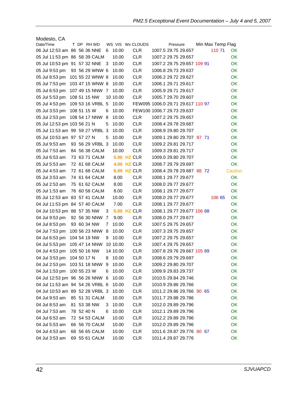| Modesto, CA                     |              |  |                  |   |                    |                          |                                   |  |                   |           |
|---------------------------------|--------------|--|------------------|---|--------------------|--------------------------|-----------------------------------|--|-------------------|-----------|
| Date/Time                       |              |  | T DP RHWD        |   |                    | WS VIS Wx CLOUDS         | Pressure                          |  | Min Max Temp Flag |           |
| 06 Jul 12:53 am 86 56 36 NNE    |              |  |                  | 6 | 10.00              | <b>CLR</b>               | 1007.5 29.75 29.657               |  | 110 71            | 0K        |
| 05 Jul 11:53 pm 86 58 39 CALM   |              |  |                  |   | 10.00              | <b>CLR</b>               | 1007.2 29.75 29.657               |  |                   | OK        |
| 05 Jul 10:53 pm 91 57 32 NNE    |              |  |                  | 3 | 10.00              | <b>CLR</b>               | 1007.2 29.75 29.657 109 91        |  |                   | OK        |
| 05 Jul 9:53 pm                  |              |  | 93 56 29 WNW 6   |   | 10.00              | <b>CLR</b>               | 1006.8 29.73 29.637               |  |                   | OK        |
| 05 Jul 8:53 pm                  |              |  | 101 55 22 WNW 8  |   | 10.00              | <b>CLR</b>               | 1006.2 29.72 29.627               |  |                   | OK        |
| 05 Jul 7:53 pm                  |              |  | 103 47 15 WNW 8  |   | 10.00              | <b>CLR</b>               | 1006.1 29.71 29.617               |  |                   | OK        |
| 05 Jul 6:53 pm                  |              |  | 107 49 15 NNW 7  |   | 10.00              | <b>CLR</b>               | 1005.9 29.71 29.617               |  |                   | OK        |
| 05 Jul 5:53 pm                  |              |  | 108 51 15 NW     |   | 10 10.00           | <b>CLR</b>               | 1005.7 29.70 29.607               |  |                   | OK        |
| 05 Jul 4:53 pm                  |              |  | 109 53 16 VRBL 5 |   | 10.00              |                          | FEW095 1006.0 29.71 29.617 110 97 |  |                   | OK        |
| 05 Jul 3:53 pm                  | 108 51 15 W  |  |                  | 6 | 10.00              |                          | FEW100 1006.7 29.73 29.637        |  |                   | OK        |
| 05 Jul 2:53 pm                  |              |  | 108 54 17 NNW    | 8 | 10.00              | CLR.                     | 1007.2 29.75 29.657               |  |                   | <b>OK</b> |
| 05 Jul 12:53 pm 103 56 21 N     |              |  |                  | 5 | 10.00              | <b>CLR</b>               | 1008.4 29.78 29.687               |  |                   | OK        |
| 05 Jul 11:53 am 99 59 27 VRBL 3 |              |  |                  |   | 10.00              | <b>CLR</b>               | 1008.9 29.80 29.707               |  |                   | OK        |
| 05 Jul 10:53 am 97 57 27 N      |              |  |                  | 5 | 10.00              | <b>CLR</b>               | 1009.1 29.80 29.707 97 71         |  |                   | OK        |
| 05 Jul 9:53 am                  |              |  | 93 56 29 VRBL 3  |   | 10.00              | <b>CLR</b>               | 1009.2 29.81 29.717               |  |                   | OK        |
| 05 Jul 7:53 am                  |              |  | 84 56 38 CALM    |   | 10.00              | <b>CLR</b>               | 1009.3 29.81 29.717               |  |                   | OK.       |
| 05 Jul 6:53 am                  |              |  | 73 63 71 CALM    |   | <b>5.00 HZ CLR</b> |                          | 1009.0 29.80 29.707               |  |                   | OK        |
| 05 Jul 5:53 am                  |              |  | 72 61 68 CALM    |   | <b>4.00 HZ CLR</b> |                          | 1008.7 29.79 29.697               |  |                   | OK        |
| 05 Jul 4:53 am                  |              |  | 72 61 68 CALM    |   | <b>6.00 HZ CLR</b> |                          | 1008.4 29.78 29.687 88 72         |  |                   | Caution   |
| 05 Jul 3:53 am                  |              |  | 74 61 64 CALM    |   | 8.00               | <b>CLR</b>               | 1008.1 29.77 29.677               |  |                   | OK        |
| 05 Jul 2:53 am                  |              |  | 75 61 62 CALM    |   | 8.00               | <b>CLR</b>               | 1008.0 29.77 29.677               |  |                   | OK        |
| 05 Jul 1:53 am                  |              |  | 76 60 58 CALM    |   | 8.00               | <b>CLR</b>               | 1008.1 29.77 29.677               |  |                   | OK        |
| 05 Jul 12:53 am 83 57 41 CALM   |              |  |                  |   | 10.00              | <b>CLR</b>               | 1008.0 29.77 29.677               |  | 106 65            | OK        |
| 04 Jul 11:53 pm 84 57 40 CALM   |              |  |                  |   | 7.00               | <b>CLR</b>               | 1008.1 29.77 29.677               |  |                   | OK        |
| 04 Jul 10:53 pm 88 57 35 NW     |              |  |                  | 3 | <b>5.00 HZ CLR</b> |                          | 1008.1 29.77 29.677 106 88        |  |                   | OK        |
| 04 Jul 9:53 pm                  |              |  | 92 56 30 NNW 7   |   | 9.00               | <b>CLR</b>               | 1008.0 29.77 29.677               |  |                   | OK        |
| 04 Jul 8:53 pm                  |              |  | 93 60 34 NW      | 7 | 10.00              | <b>CLR</b>               | 1007.5 29.75 29.657               |  |                   | OK        |
| 04 Jul 7:53 pm                  |              |  | 100 56 23 NNW    | 8 | 10.00              | <b>CLR</b>               | 1007.3 29.75 29.657               |  |                   | OK        |
| 04 Jul 6:53 pm                  | 104 54 19 NW |  |                  | 9 | 10.00              | <b>CLR</b>               | 1007.2 29.75 29.657               |  |                   | <b>OK</b> |
| 04 Jul 5:53 pm                  |              |  | 105 47 14 NNW    |   | 10 10.00           | <b>CLR</b>               | 1007.4 29.75 29.657               |  |                   | OK        |
| 04 Jul 4:53 pm                  |              |  | 105 50 16 NW     |   | 14 10.00           | <b>CLR</b>               | 1007.8 29.76 29.667 105 89        |  |                   | OK        |
| 04 Jul 3:53 pm                  | 104 50 17 N  |  |                  | 8 | 10.00              | <b>CLR</b>               | 1008.6 29.79 29.697               |  |                   | OK        |
| 04 Jul 2:53 pm 103 51 18 NNW 9  |              |  |                  |   | 10.00              | <b>CLR</b>               | 1009.2 29.80 29.707               |  |                   | OK        |
| 04 Jul 1:53 pm                  | 100 55 23 W  |  |                  | 6 | 10.00              | <b>CLR</b>               | 1009.9 29.83 29.737               |  |                   | OK        |
| 04 Jul 12:53 pm 96 56 26 NNW 6  |              |  |                  |   | 10.00              | <b>CLR</b>               | 1010.5 29.84 29.746               |  |                   | OK        |
| 04 Jul 11:53 am 94 54 26 VRBL 6 |              |  |                  |   | 10.00              | <b>CLR</b>               | 1010.9 29.86 29.766               |  |                   | OK        |
| 04 Jul 10:53 am 89 52 28 VRBL 3 |              |  |                  |   | 10.00              | <b>CLR</b>               | 1011.2 29.86 29.766 90 65         |  |                   | OK        |
| 04 Jul 9:53 am                  |              |  | 85 51 31 CALM    |   | 10.00              | <b>CLR</b>               | 1011.7 29.88 29.786               |  |                   | OK        |
| 04 Jul 8:53 am                  |              |  | 81 53 38 NW      | 3 | 10.00              | <b>CLR</b>               | 1012.0 29.89 29.796               |  |                   | OK        |
| 04 Jul 7:53 am                  |              |  |                  |   |                    |                          |                                   |  |                   |           |
| 04 Jul 6:53 am                  | 78 52 40 N   |  | 72 54 53 CALM    | 6 | 10.00              | <b>CLR</b><br><b>CLR</b> | 1012.1 29.89 29.796               |  |                   | OK<br>OK  |
|                                 |              |  |                  |   | 10.00              |                          | 1012.2 29.89 29.796               |  |                   |           |
| 04 Jul 5:53 am                  |              |  | 66 56 70 CALM    |   | 10.00              | <b>CLR</b>               | 1012.0 29.89 29.796               |  |                   | OK        |
| 04 Jul 4:53 am                  |              |  | 68 56 65 CALM    |   | 10.00              | <b>CLR</b>               | 1011.6 29.87 29.776 80 67         |  |                   | OK        |
| 04 Jul 3:53 am                  |              |  | 69 55 61 CALM    |   | 10.00              | <b>CLR</b>               | 1011.4 29.87 29.776               |  |                   | OK        |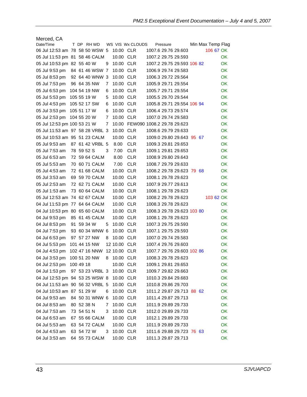| Merced, CA                               |             |  |                 |   |              |                                  |          |                            |  |                   |           |
|------------------------------------------|-------------|--|-----------------|---|--------------|----------------------------------|----------|----------------------------|--|-------------------|-----------|
| Date/Time                                |             |  | T DP RHWD       |   |              | WS VIS Wx CLOUDS                 | Pressure |                            |  | Min Max Temp Flag |           |
| 06 Jul 12:53 am 78 58 50 WSW 5           |             |  |                 |   | 10.00 CLR    |                                  |          | 1007.6 29.76 29.603        |  | 106 67 OK         |           |
| 05 Jul 11:53 pm 81 58 46 CALM            |             |  |                 |   | 10.00 CLR    |                                  |          | 1007.2 29.75 29.593        |  |                   | <b>OK</b> |
| 05 Jul 10:53 pm 82 55 40 W               |             |  |                 | 9 | 10.00 CLR    |                                  |          | 1007.2 29.75 29.593 106 82 |  |                   | <b>OK</b> |
| 05 Jul 9:53 pm                           |             |  | 84 61 46 WSW    | 7 | 10.00 CLR    |                                  |          | 1006.9 29.74 29.583        |  |                   | OK.       |
| 05 Jul 8:53 pm                           |             |  | 92 64 40 WNW 3  |   | 10.00 CLR    |                                  |          | 1006.3 29.72 29.564        |  |                   | ОK        |
| 05 Jul 7:53 pm                           |             |  | 96 64 35 NW     | 7 | 10.00 CLR    |                                  |          | 1005.9 29.71 29.554        |  |                   | <b>OK</b> |
| 05 Jul 6:53 pm                           |             |  | 104 54 19 NW    | 6 | 10.00 CLR    |                                  |          | 1005.7 29.71 29.554        |  |                   | OK.       |
| 05 Jul 5:53 pm                           | 105 55 19 W |  |                 | 5 | 10.00 CLR    |                                  |          | 1005.5 29.70 29.544        |  |                   | OK.       |
| 05 Jul 4:53 pm                           |             |  | 105 52 17 SW    | 6 | 10.00 CLR    |                                  |          | 1005.8 29.71 29.554 106 94 |  |                   | OK        |
| 05 Jul 3:53 pm                           | 105 51 17 W |  |                 | 6 | 10.00 CLR    |                                  |          | 1006.4 29.73 29.574        |  |                   | <b>OK</b> |
| 05 Jul 2:53 pm                           | 104 55 20 W |  |                 | 7 | 10.00        | CLR                              |          | 1007.0 29.74 29.583        |  |                   | <b>OK</b> |
| 05 Jul 12:53 pm 100 53 21 W              |             |  |                 | 7 |              | 10.00 FEW090 1008.2 29.78 29.623 |          |                            |  |                   | OK        |
| 05 Jul 11:53 am 97 58 28 VRBL 3          |             |  |                 |   | 10.00        | <b>CLR</b>                       |          | 1008.6 29.79 29.633        |  |                   | <b>OK</b> |
| 05 Jul 10:53 am 95 51 23 CALM            |             |  |                 |   | 10.00        | <b>CLR</b>                       |          | 1009.0 29.80 29.643 95 67  |  |                   | OK.       |
| 05 Jul 9:53 am                           |             |  | 87 61 42 VRBL 5 |   | 8.00         | CLR                              |          | 1009.3 29.81 29.653        |  |                   | <b>OK</b> |
| 05 Jul 7:53 am                           | 78 59 52 S  |  |                 | 3 | 7.00         | <b>CLR</b>                       |          | 1009.1 29.81 29.653        |  |                   | OK.       |
| 05 Jul 6:53 am                           |             |  | 72 59 64 CALM   |   | 8.00         | <b>CLR</b>                       |          | 1008.9 29.80 29.643        |  |                   | OK.       |
| 05 Jul 5:53 am                           |             |  | 70 60 71 CALM   |   | 7.00         | <b>CLR</b>                       |          | 1008.7 29.79 29.633        |  |                   | OK.       |
| 05 Jul 4:53 am                           |             |  | 72 61 68 CALM   |   | 10.00        | <b>CLR</b>                       |          | 1008.2 29.78 29.623 79 68  |  |                   | <b>OK</b> |
| 05 Jul 3:53 am                           |             |  | 69 59 70 CALM   |   | 10.00 CLR    |                                  |          | 1008.1 29.78 29.623        |  |                   | <b>OK</b> |
| 05 Jul 2:53 am                           |             |  | 72 62 71 CALM   |   | 10.00 CLR    |                                  |          | 1007.9 29.77 29.613        |  |                   | ОK        |
| 05 Jul 1:53 am                           |             |  | 73 60 64 CALM   |   | 10.00 CLR    |                                  |          | 1008.1 29.78 29.623        |  |                   | OK        |
| 05 Jul 12:53 am 74 62 67 CALM            |             |  |                 |   | 10.00 CLR    |                                  |          | 1008.2 29.78 29.623        |  | 103 62 OK         |           |
| 04 Jul 11:53 pm 77 64 64 CALM            |             |  |                 |   | 10.00 CLR    |                                  |          | 1008.3 29.78 29.623        |  |                   | OK.       |
| 04 Jul 10:53 pm 80 65 60 CALM            |             |  |                 |   | 10.00 CLR    |                                  |          | 1008.3 29.78 29.623 103 80 |  |                   | <b>OK</b> |
| 04 Jul 9:53 pm                           |             |  | 85 61 45 CALM   |   | 10.00 CLR    |                                  |          | 1008.1 29.78 29.623        |  |                   | OK.       |
| 04 Jul 8:53 pm                           | 91 59 34 W  |  |                 | 5 | 10.00 CLR    |                                  |          | 1007.3 29.75 29.593        |  |                   | OK.       |
| 04 Jul 7:53 pm                           |             |  | 93 60 34 WNW 6  |   | 10.00 CLR    |                                  |          | 1007.1 29.75 29.593        |  |                   | OK        |
| 04 Jul 6:53 pm                           |             |  | 97 57 27 NW     | 8 | 10.00 CLR    |                                  |          | 1007.0 29.74 29.583        |  |                   | <b>OK</b> |
| 04 Jul 5:53 pm                           |             |  | 101 44 15 NW    |   | 12 10.00 CLR |                                  |          | 1007.4 29.76 29.603        |  |                   | OK.       |
| 04 Jul 4:53 pm                           |             |  | 102 47 16 NNW   |   | 12 10.00 CLR |                                  |          | 1007.7 29.76 29.603 102 86 |  |                   | OK        |
| 04 Jul 3:53 pm                           |             |  | 100 51 20 NW    |   | 8 10.00 CLR  |                                  |          | 1008.3 29.78 29.623        |  |                   | <b>OK</b> |
| 04 Jul 2:53 pm 100 49 18                 |             |  |                 |   | 10.00 CLR    |                                  |          | 1009.1 29.81 29.653        |  |                   | OK        |
| 04 Jul 1:53 pm 97 53 23 VRBL 3 10.00 CLR |             |  |                 |   |              |                                  |          | 1009.7 29.82 29.663        |  |                   | OK        |
| 04 Jul 12:53 pm 94 53 25 WSW 8           |             |  |                 |   | 10.00 CLR    |                                  |          | 1010.3 29.84 29.683        |  |                   | OK.       |
| 04 Jul 11:53 am 90 56 32 VRBL 5          |             |  |                 |   | 10.00 CLR    |                                  |          | 1010.8 29.86 29.703        |  |                   | OK        |
| 04 Jul 10:53 am 87 51 29 W               |             |  |                 | 6 | 10.00 CLR    |                                  |          | 1011.2 29.87 29.713 88 62  |  |                   | <b>OK</b> |
| 04 Jul 9:53 am                           |             |  | 84 50 31 WNW 6  |   | 10.00 CLR    |                                  |          | 1011.4 29.87 29.713        |  |                   | <b>OK</b> |
| 04 Jul 8:53 am                           | 80 52 38 N  |  |                 | 7 | 10.00 CLR    |                                  |          | 1011.9 29.89 29.733        |  |                   | <b>OK</b> |
| 04 Jul 7:53 am                           | 73 54 51 N  |  |                 | 3 | 10.00 CLR    |                                  |          | 1012.0 29.89 29.733        |  |                   | OK        |
| 04 Jul 6:53 am                           |             |  | 67 55 66 CALM   |   | 10.00 CLR    |                                  |          | 1012.1 29.89 29.733        |  |                   | OK.       |
| 04 Jul 5:53 am                           |             |  | 63 54 72 CALM   |   | 10.00 CLR    |                                  |          | 1011.9 29.89 29.733        |  |                   | OK.       |
| 04 Jul 4:53 am                           | 63 54 72 W  |  |                 |   | 10.00 CLR    |                                  |          | 1011.6 29.88 29.723 76 63  |  |                   | OK.       |
|                                          |             |  |                 | 3 | 10.00 CLR    |                                  |          |                            |  |                   |           |
| 04 Jul 3:53 am                           |             |  | 64 55 73 CALM   |   |              |                                  |          | 1011.3 29.87 29.713        |  |                   | OK.       |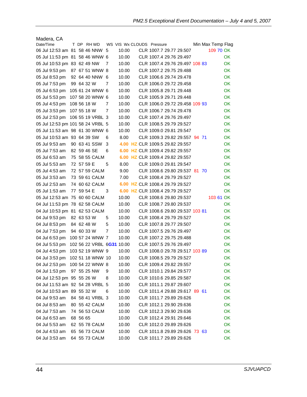| Madera, CA                       |             |  |                  |   |                           |  |                                 |  |                   |     |
|----------------------------------|-------------|--|------------------|---|---------------------------|--|---------------------------------|--|-------------------|-----|
| Date/Time                        |             |  | T DP RHWD        |   | WS VIS Wx CLOUDS Pressure |  |                                 |  | Min Max Temp Flag |     |
| 06 Jul 12:53 am 81 58 46 NNW     |             |  |                  | 5 | 10.00                     |  | CLR 1007.7 29.77 29.507         |  | 109 70 OK         |     |
| 05 Jul 11:53 pm 81 58 46 WNW 6   |             |  |                  |   | 10.00                     |  | CLR 1007.4 29.76 29.497         |  |                   | OK. |
| 05 Jul 10:53 pm 83 62 49 NW      |             |  |                  | 7 | 10.00                     |  | CLR 1007.4 29.76 29.497 108 83  |  |                   | OK. |
| 05 Jul 9:53 pm                   |             |  | 87 67 51 WNW 8   |   | 10.00                     |  | CLR 1007.2 29.75 29.488         |  |                   | OK  |
| 05 Jul 8:53 pm                   |             |  | 92 64 40 NNW 6   |   | 10.00                     |  | CLR 1006.6 29.74 29.478         |  |                   | ОK  |
| 05 Jul 7:53 pm                   | 99 64 32 W  |  |                  | 7 | 10.00                     |  | CLR 1006.0 29.72 29.458         |  |                   | OK  |
| 05 Jul 6:53 pm                   |             |  | 105 61 24 WNW 6  |   | 10.00                     |  | CLR 1005.8 29.71 29.448         |  |                   | OK  |
| 05 Jul 5:53 pm                   |             |  | 107 58 20 WNW 6  |   | 10.00                     |  | CLR 1005.9 29.71 29.448         |  |                   | OK  |
| 05 Jul 4:53 pm                   | 108 56 18 W |  |                  | 7 | 10.00                     |  | CLR 1006.0 29.72 29.458 109 93  |  |                   | ОK  |
| 05 Jul 3:53 pm                   | 107 55 18 W |  |                  | 7 | 10.00                     |  | CLR 1006.7 29.74 29.478         |  |                   | ОK  |
| 05 Jul 2:53 pm                   |             |  | 106 55 19 VRBL 3 |   | 10.00                     |  | CLR 1007.4 29.76 29.497         |  |                   | OK. |
| 05 Jul 12:53 pm 101 58 24 VRBL 5 |             |  |                  |   | 10.00                     |  | CLR 1008.5 29.79 29.527         |  |                   | OK. |
| 05 Jul 11:53 am 98 61 30 WNW 6   |             |  |                  |   | 10.00                     |  | CLR 1009.0 29.81 29.547         |  |                   | ОK  |
| 05 Jul 10:53 am 93 64 39 SW      |             |  |                  | 6 | 8.00                      |  | CLR 1009.3 29.82 29.557 94 71   |  |                   | ОK  |
| 05 Jul 9:53 am                   |             |  | 90 63 41 SSW     | 3 |                           |  | 4.00 HZ CLR 1009.5 29.82 29.557 |  |                   | OK  |
| 05 Jul 7:53 am                   | 82 59 46 SE |  |                  | 6 |                           |  | 6.00 HZ CLR 1009.4 29.82 29.557 |  |                   | OK  |
| 05 Jul 6:53 am                   |             |  | 75 58 55 CALM    |   |                           |  | 6.00 HZ CLR 1009.4 29.82 29.557 |  |                   | OK  |
| 05 Jul 5:53 am                   | 72 57 59 E  |  |                  | 5 | 8.00                      |  | CLR 1009.0 29.81 29.547         |  |                   | ОK  |
| 05 Jul 4:53 am                   |             |  | 72 57 59 CALM    |   | 9.00                      |  | CLR 1008.6 29.80 29.537 81 70   |  |                   | OK. |
| 05 Jul 3:53 am                   |             |  | 73 59 61 CALM    |   | 7.00                      |  | CLR 1008.4 29.79 29.527         |  |                   | OK. |
| 05 Jul 2:53 am                   |             |  | 74 60 62 CALM    |   |                           |  | 6.00 HZ CLR 1008.4 29.79 29.527 |  |                   | OK  |
| 05 Jul 1:53 am                   | 77 59 54 E  |  |                  | 3 |                           |  | 6.00 HZ CLR 1008.4 29.79 29.527 |  |                   | ОK  |
| 05 Jul 12:53 am 75 60 60 CALM    |             |  |                  |   | 10.00                     |  | CLR 1008.6 29.80 29.537         |  | 103 61 OK         |     |
| 04 Jul 11:53 pm 78 62 58 CALM    |             |  |                  |   | 10.00                     |  | CLR 1008.7 29.80 29.537         |  |                   | OK  |
|                                  |             |  |                  |   |                           |  | CLR 1008.6 29.80 29.537 103 81  |  |                   | OK  |
| 04 Jul 10:53 pm 81 62 53 CALM    |             |  |                  |   | 10.00                     |  | CLR 1008.4 29.79 29.527         |  |                   | OK  |
| 04 Jul 9:53 pm                   | 82 63 53 W  |  |                  | 5 | 10.00                     |  |                                 |  |                   |     |
| 04 Jul 8:53 pm                   | 84 62 48 W  |  |                  | 5 | 10.00                     |  | CLR 1007.8 29.77 29.507         |  |                   | OK  |
| 04 Jul 7:53 pm                   | 94 60 33 W  |  |                  | 7 | 10.00                     |  | CLR 1007.5 29.76 29.497         |  |                   | OK  |
| 04 Jul 6:53 pm                   |             |  | 100 57 24 WNW 7  |   | 10.00                     |  | CLR 1007.2 29.75 29.488         |  |                   | OK  |
| 04 Jul 5:53 pm                   |             |  |                  |   | 102 56 22 VRBL 6G31 10.00 |  | CLR 1007.5 29.76 29.497         |  |                   | OK  |
| 04 Jul 4:53 pm                   |             |  | 103 52 19 WNW 9  |   | 10.00                     |  | CLR 1008.0 29.78 29.517 103 89  |  |                   | ОK  |
| 04 Jul 3:53 pm                   |             |  | 102 51 18 WNW 10 |   | 10.00                     |  | CLR 1008.5 29.79 29.527         |  |                   | OK  |
| 04 Jul 2:53 pm                   |             |  | 100 54 22 WNW 8  |   | 10.00                     |  | CLR 1009.4 29.82 29.557         |  |                   | OK  |
| 04 Jul 1:53 pm                   |             |  | 97 55 25 NW      | 9 | 10.00                     |  | CLR 1010.1 29.84 29.577         |  |                   | OK  |
| 04 Jul 12:53 pm 95 55 26 W       |             |  |                  | 8 | 10.00                     |  | CLR 1010.6 29.85 29.587         |  |                   | OK  |
| 04 Jul 11:53 am 92 54 28 VRBL 5  |             |  |                  |   | 10.00                     |  | CLR 1011.1 29.87 29.607         |  |                   | OK  |
| 04 Jul 10:53 am 89 55 32 W       |             |  |                  | 6 | 10.00                     |  | CLR 1011.4 29.88 29.617 89 61   |  |                   | OK  |
| 04 Jul 9:53 am                   |             |  | 84 58 41 VRBL 3  |   | 10.00                     |  | CLR 1011.7 29.89 29.626         |  |                   | OK  |
| 04 Jul 8:53 am                   |             |  | 80 55 42 CALM    |   | 10.00                     |  | CLR 1012.1 29.90 29.636         |  |                   | OK  |
| 04 Jul 7:53 am                   |             |  | 74 56 53 CALM    |   | 10.00                     |  | CLR 1012.3 29.90 29.636         |  |                   | OK  |
| 04 Jul 6:53 am                   | 68 56 65    |  |                  |   | 10.00                     |  | CLR 1012.4 29.91 29.646         |  |                   | OK  |
| 04 Jul 5:53 am                   |             |  | 62 55 78 CALM    |   | 10.00                     |  | CLR 1012.0 29.89 29.626         |  |                   | OK  |
| 04 Jul 4:53 am                   |             |  | 65 56 73 CALM    |   | 10.00                     |  | CLR 1011.8 29.89 29.626 73 63   |  |                   | OK  |
| 04 Jul 3:53 am                   |             |  | 64 55 73 CALM    |   | 10.00                     |  | CLR 1011.7 29.89 29.626         |  |                   | OK  |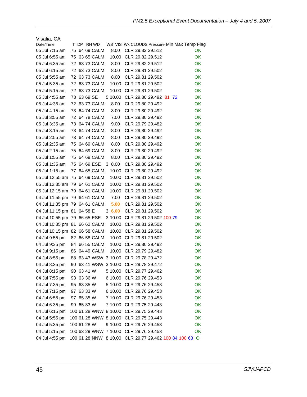| Visalia, CA                   |             |      |                       |         |                                             |         |
|-------------------------------|-------------|------|-----------------------|---------|---------------------------------------------|---------|
| Date/Time                     |             | T DP | RH WD                 |         | WS VIS Wx CLOUDS Pressure Min Max Temp Flag |         |
| 05 Jul 7:15 am                |             |      | 75 64 69 CALM         | 8.00    | CLR 29.82 29.512                            | OK      |
| 05 Jul 6:55 am                |             |      | 75 63 65 CALM         | 10.00   | CLR 29.82 29.512                            | OK      |
| 05 Jul 6:35 am                |             |      | 72 63 73 CALM         | 8.00    | CLR 29.82 29.512                            | OK      |
| 05 Jul 6:15 am                |             |      | 72 63 73 CALM         | 8.00    | CLR 29.81 29.502                            | OK      |
| 05 Jul 5:55 am                |             |      | 72 63 73 CALM         | 8.00    | CLR 29.81 29.502                            | OK      |
| 05 Jul 5:35 am                |             |      | 72 63 73 CALM         | 10.00   | CLR 29.81 29.502                            | OK      |
| 05 Jul 5:15 am                |             |      | 72 63 73 CALM         | 10.00   | CLR 29.81 29.502                            | OK      |
| 05 Jul 4:55 am                |             |      | 73 63 69 SE           | 5 10.00 | CLR 29.80 29.492 81 72                      | OK      |
| 05 Jul 4:35 am                |             |      | 72 63 73 CALM         | 8.00    | CLR 29.80 29.492                            | OK      |
| 05 Jul 4:15 am                |             |      | 73 64 74 CALM         | 8.00    | CLR 29.80 29.492                            | OK      |
| 05 Jul 3:55 am                |             |      | 72 64 78 CALM         | 7.00    | CLR 29.80 29.492                            | OK      |
| 05 Jul 3:35 am                |             |      | 73 64 74 CALM         | 9.00    | CLR 29.79 29.482                            | OK      |
| 05 Jul 3:15 am                |             |      | 73 64 74 CALM         | 8.00    | CLR 29.80 29.492                            | OK      |
| 05 Jul 2:55 am                |             |      | 73 64 74 CALM         | 8.00    | CLR 29.80 29.492                            | OK      |
| 05 Jul 2:35 am                |             |      | 75 64 69 CALM         | 8.00    | CLR 29.80 29.492                            | OK      |
| 05 Jul 2:15 am                |             |      | 75 64 69 CALM         | 8.00    | CLR 29.80 29.492                            | OK      |
| 05 Jul 1:55 am                |             |      | 75 64 69 CALM         | 8.00    | CLR 29.80 29.492                            | OK      |
| 05 Jul 1:35 am                |             |      | 75 64 69 ESE          | 3 8.00  | CLR 29.80 29.492                            | OK      |
| 05 Jul 1:15 am                |             |      | 77 64 65 CALM         | 10.00   | CLR 29.80 29.492                            | OK      |
| 05 Jul 12:55 am 75 64 69 CALM |             |      |                       | 10.00   | CLR 29.81 29.502                            | OK      |
| 05 Jul 12:35 am 79 64 61 CALM |             |      |                       | 10.00   | CLR 29.81 29.502                            | OK      |
| 05 Jul 12:15 am 79 64 61 CALM |             |      |                       | 10.00   | CLR 29.81 29.502                            | OK      |
| 04 Jul 11:55 pm 79 64 61 CALM |             |      |                       | 7.00    | CLR 29.81 29.502                            | OK      |
| 04 Jul 11:35 pm 79 64 61 CALM |             |      |                       | 5.00    | CLR 29.81 29.502                            | OK      |
| 04 Jul 11:15 pm 81 64 58 E    |             |      |                       | 36.00   | CLR 29.81 29.502                            | OK      |
| 04 Jul 10:55 pm 79 66 65 ESE  |             |      |                       | 3 10.00 | CLR 29.81 29.502 100 79                     | OK      |
| 04 Jul 10:35 pm 81 66 62 CALM |             |      |                       | 10.00   | CLR 29.81 29.502                            | OK      |
| 04 Jul 10:15 pm 82 66 58 CALM |             |      |                       | 10.00   | CLR 29.81 29.502                            | OK      |
| 04 Jul 9:55 pm                |             |      | 82 66 58 CALM         | 10.00   | CLR 29.81 29.502                            | OK      |
| 04 Jul 9:35 pm                |             |      | 84 66 55 CALM         | 10.00   | CLR 29.80 29.492                            | OK      |
| 04 Jul 9:15 pm                |             |      | 86 64 49 CALM         | 10.00   | CLR 29.79 29.482                            | OK      |
| 04 Jul 8:55 pm                |             |      |                       |         | 88 63 43 WSW 3 10.00 CLR 29.78 29.472       | OK      |
| 04 Jul 8:35 pm                |             |      | 90 63 41 WSW 3 10.00  |         | CLR 29.78 29.472                            | ОK      |
| 04 Jul 8:15 pm                | 90 63 41 W  |      |                       | 5 10.00 | CLR 29.77 29.462                            | OK      |
| 04 Jul 7:55 pm                | 93 63 36 W  |      |                       | 6 10.00 | CLR 29.76 29.453                            | OK      |
| 04 Jul 7:35 pm                | 95 63 35 W  |      |                       | 5 10.00 | CLR 29.76 29.453                            | OK      |
| 04 Jul 7:15 pm                | 97 63 33 W  |      |                       | 6 10.00 | CLR 29.76 29.453                            | OK      |
| 04 Jul 6:55 pm                | 97 65 35 W  |      |                       | 7 10.00 | CLR 29.76 29.453                            | OK      |
| 04 Jul 6:35 pm                | 99 65 33 W  |      |                       | 7 10.00 | CLR 29.75 29.443                            | OK      |
| 04 Jul 6:15 pm                |             |      | 100 61 28 WNW         | 8 10.00 | CLR 29.75 29.443                            | OK      |
| 04 Jul 5:55 pm                |             |      | 100 61 28 WNW         | 8 10.00 | CLR 29.75 29.443                            | OK      |
| 04 Jul 5:35 pm                | 100 61 28 W |      |                       | 9 10.00 | CLR 29.76 29.453                            | OK      |
| 04 Jul 5:15 pm                |             |      | 100 63 29 WNW 7 10.00 |         | CLR 29.76 29.453                            | OK      |
| 04 Jul 4:55 pm                |             |      | 100 61 28 NNW         | 8 10.00 | CLR 29.77 29.462 100 84 100 63              | $\circ$ |
|                               |             |      |                       |         |                                             |         |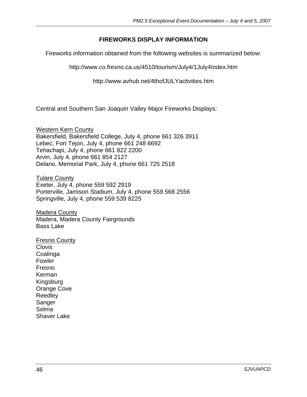#### **FIREWORKS DISPLAY INFORMATION**

Fireworks information obtained from the following websites is summarized below:

http://www.co.fresno.ca.us/4510/tourism/July4/1July4Index.htm

http://www.avhub.net/4thofJULYactivities.htm

Central and Southern San Joaquin Valley Major Fireworks Displays:

Western Kern County Bakersfield, Bakersfield College, July 4, phone 661 326 3911 Lebec, Fort Tejon, July 4, phone 661 248 6692 Tehachapi, July 4, phone 661 822 2200 Arvin, July 4, phone 661 854 2127 Delano, Memorial Park, July 4, phone 661 725 2518

Tulare County Exeter, July 4, phone 559 592 2919 Porterville, Jamison Stadium, July 4, phone 559 568 2556 Springville, July 4, phone 559 539 8225

Madera County Madera, Madera County Fairgrounds Bass Lake

Fresno County **Clovis** Coalinga Fowler Fresno Kerman Kingsburg Orange Cove Reedley Sanger Selma Shaver Lake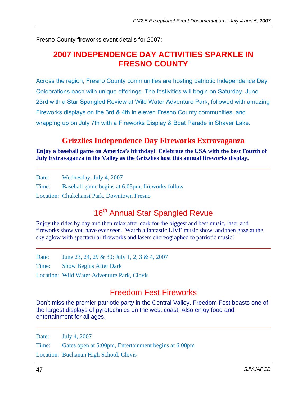Fresno County fireworks event details for 2007:

### **2007 INDEPENDENCE DAY ACTIVITIES SPARKLE IN FRESNO COUNTY**

Across the region, Fresno County communities are hosting patriotic Independence Day Celebrations each with unique offerings. The festivities will begin on Saturday, June 23rd with a Star Spangled Review at Wild Water Adventure Park, followed with amazing Fireworks displays on the 3rd & 4th in eleven Fresno County communities, and wrapping up on July 7th with a Fireworks Display & Boat Parade in Shaver Lake.

### **Grizzlies Independence Day Fireworks Extravaganza**

**Enjoy a baseball game on America's birthday! Celebrate the USA with the best Fourth of July Extravaganza in the Valley as the Grizzlies host this annual fireworks display.**

Date: Wednesday, July 4, 2007

Time: Baseball game begins at 6:05pm, fireworks follow

Location: Chukchansi Park, Downtown Fresno

# 16<sup>th</sup> Annual Star Spangled Revue

Enjoy the rides by day and then relax after dark for the biggest and best music, laser and fireworks show you have ever seen. Watch a fantastic LIVE music show, and then gaze at the sky aglow with spectacular fireworks and lasers choreographed to patriotic music!

Date: June 23, 24, 29 & 30; July 1, 2, 3 & 4, 2007 Time: Show Begins After Dark

Location: Wild Water Adventure Park, Clovis

## Freedom Fest Fireworks

Don't miss the premier patriotic party in the Central Valley. Freedom Fest boasts one of the largest displays of pyrotechnics on the west coast. Also enjoy food and entertainment for all ages.

Date: July 4, 2007 Time: Gates open at 5:00pm, Entertainment begins at 6:00pm Location: Buchanan High School, Clovis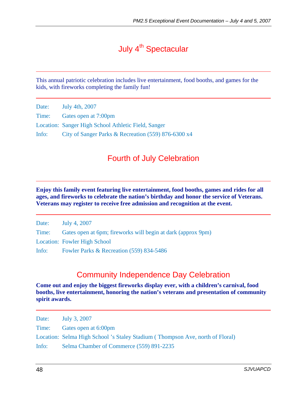# July 4<sup>th</sup> Spectacular

This annual patriotic celebration includes live entertainment, food booths, and games for the kids, with fireworks completing the family fun!

| Date: | July 4th, 2007                                      |
|-------|-----------------------------------------------------|
| Time: | Gates open at 7:00pm                                |
|       | Location: Sanger High School Athletic Field, Sanger |
| Info: | City of Sanger Parks & Recreation (559) 876-6300 x4 |

### Fourth of July Celebration

#### **Enjoy this family event featuring live entertainment, food booths, games and rides for all ages, and fireworks to celebrate the nation's birthday and honor the service of Veterans. Veterans may register to receive free admission and recognition at the event.**

| Date: | July 4, 2007                                                 |
|-------|--------------------------------------------------------------|
| Time: | Gates open at 6pm; fireworks will begin at dark (approx 9pm) |
|       | <b>Location: Fowler High School</b>                          |
| Info: | Fowler Parks & Recreation (559) 834-5486                     |

## Community Independence Day Celebration

**Come out and enjoy the biggest fireworks display ever, with a children's carnival, food booths, live entertainment, honoring the nation's veterans and presentation of community spirit awards.** 

| Date: | July 3, 2007                                                                  |
|-------|-------------------------------------------------------------------------------|
| Time: | Gates open at 6:00pm                                                          |
|       | Location: Selma High School 's Staley Stadium (Thompson Ave, north of Floral) |
| Info: | Selma Chamber of Commerce (559) 891-2235                                      |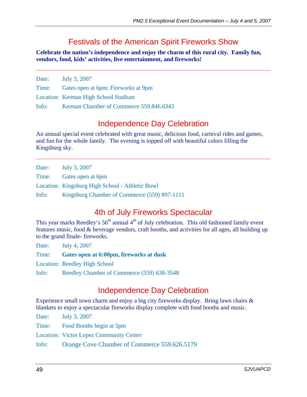## Festivals of the American Spirit Fireworks Show

**Celebrate the nation's independence and enjoy the charm of this rural city. Family fun, vendors, food, kids' activities, live entertainment, and fireworks!**

Date: July 3, 2007 Time: Gates open at 6pm: Fireworks at 9pm Location: Kerman High School Stadium Info: Kerman Chamber of Commerce 559.846.6343

### Independence Day Celebration

An annual special event celebrated with great music, delicious food, carnival rides and games, and fun for the whole family. The evening is topped off with beautiful colors filling the Kingsburg sky.

Date: July 3, 2007 Time: Gates open at 6pm Location: Kingsburg High School - Athletic Bowl Info: Kingsburg Chamber of Commerce (559) 897-1111

## 4th of July Fireworks Spectacular

This year marks Reedley's  $56<sup>th</sup>$  annual  $4<sup>th</sup>$  of July celebration. This old fashioned family event features music, food & beverage vendors, craft booths, and activities for all ages, all building up to the grand finale- fireworks.

Date: July 4, 2007 Time: **Gates open at 6:00pm, fireworks at dusk** Location: Reedley High School

Info: Reedley Chamber of Commerce (559) 638-3548

## Independence Day Celebration

Experience small town charm and enjoy a big city fireworks display. Bring lawn chairs & blankets to enjoy a spectacular fireworks display complete with food booths and music.

Date: July 3, 2007 Time: Food Booths begin at 5pm Location: Victor Lopez Community Center Info: Orange Cove Chamber of Commerce 559.626.5179